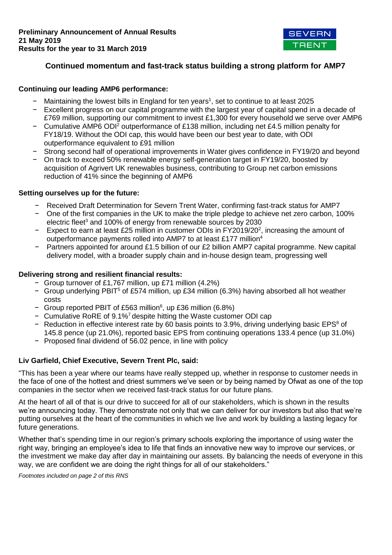

## **Continued momentum and fast-track status building a strong platform for AMP7**

## **Continuing our leading AMP6 performance:**

- − Maintaining the lowest bills in England for ten years<sup>1</sup>, set to continue to at least 2025
- − Excellent progress on our capital programme with the largest year of capital spend in a decade of £769 million, supporting our commitment to invest £1,300 for every household we serve over AMP6
- − Cumulative AMP6 ODI<sup>2</sup> outperformance of £138 million, including net £4.5 million penalty for FY18/19. Without the ODI cap, this would have been our best year to date, with ODI outperformance equivalent to £91 million
- − Strong second half of operational improvements in Water gives confidence in FY19/20 and beyond
- On track to exceed 50% renewable energy self-generation target in FY19/20, boosted by acquisition of Agrivert UK renewables business, contributing to Group net carbon emissions reduction of 41% since the beginning of AMP6

## **Setting ourselves up for the future:**

- − Received Draft Determination for Severn Trent Water, confirming fast-track status for AMP7
- − One of the first companies in the UK to make the triple pledge to achieve net zero carbon, 100% electric fleet<sup>3</sup> and 100% of energy from renewable sources by 2030
- − Expect to earn at least £25 million in customer ODIs in FY2019/20<sup>2</sup>, increasing the amount of outperformance payments rolled into AMP7 to at least £177 million<sup>4</sup>
- − Partners appointed for around £1.5 billion of our £2 billion AMP7 capital programme. New capital delivery model, with a broader supply chain and in-house design team, progressing well

## **Delivering strong and resilient financial results:**

- − Group turnover of £1,767 million, up £71 million (4.2%)
- − Group underlying PBIT<sup>5</sup> of £574 million, up £34 million (6.3%) having absorbed all hot weather costs
- − Group reported PBIT of £563 million<sup>6</sup>, up £36 million (6.8%)
- − Cumulative RoRE of 9.1%<sup>7</sup> despite hitting the Waste customer ODI cap
- − Reduction in effective interest rate by 60 basis points to 3.9%, driving underlying basic EPS<sup>8</sup> of 145.8 pence (up 21.0%), reported basic EPS from continuing operations 133.4 pence (up 31.0%)
- − Proposed final dividend of 56.02 pence, in line with policy

## **Liv Garfield, Chief Executive, Severn Trent Plc, said:**

"This has been a year where our teams have really stepped up, whether in response to customer needs in the face of one of the hottest and driest summers we've seen or by being named by Ofwat as one of the top companies in the sector when we received fast-track status for our future plans.

At the heart of all of that is our drive to succeed for all of our stakeholders, which is shown in the results we're announcing today. They demonstrate not only that we can deliver for our investors but also that we're putting ourselves at the heart of the communities in which we live and work by building a lasting legacy for future generations.

Whether that's spending time in our region's primary schools exploring the importance of using water the right way, bringing an employee's idea to life that finds an innovative new way to improve our services, or the investment we make day after day in maintaining our assets. By balancing the needs of everyone in this way, we are confident we are doing the right things for all of our stakeholders."

*Footnotes included on page 2 of this RNS*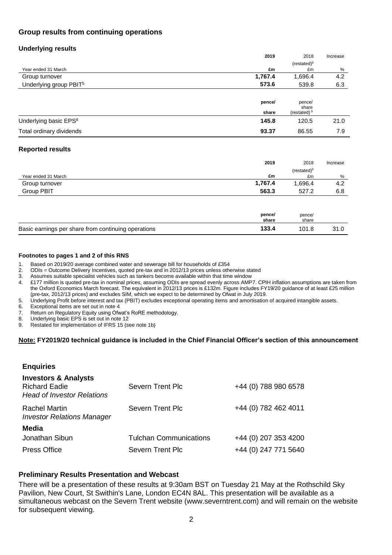## **Group results from continuing operations**

### **Underlying results**

|                                    | 2019    | 2018                    | Increase |
|------------------------------------|---------|-------------------------|----------|
|                                    |         | $(rested)^9$            |          |
| Year ended 31 March                | £m      | £m                      | %        |
| Group turnover                     | 1,767.4 | 1,696.4                 | 4.2      |
| Underlying group PBIT <sup>5</sup> | 573.6   | 539.8                   | 6.3      |
|                                    |         |                         |          |
|                                    | pence/  | pence/<br>share         |          |
|                                    | share   | (restated) <sup>9</sup> |          |
| Underlying basic EPS <sup>8</sup>  | 145.8   | 120.5                   | 21.0     |
| Total ordinary dividends           | 93.37   | 86.55                   | 7.9      |

### **Reported results**

|                     | 2019            | 2018            | Increase |
|---------------------|-----------------|-----------------|----------|
|                     |                 | $(restated)^9$  |          |
| Year ended 31 March | £m              | £m              | %        |
| Group turnover      | 1,767.4         | 1,696.4         | 4.2      |
| Group PBIT          | 563.3           | 527.2           | 6.8      |
|                     |                 |                 |          |
|                     | pence/<br>share | pence/<br>share |          |

| Basic earnings per share from continuing operations | 101.8 | 31.0 |
|-----------------------------------------------------|-------|------|
|                                                     |       |      |

### **Footnotes to pages 1 and 2 of this RNS**

- 1. Based on 2019/20 average combined water and sewerage bill for households of £354<br>2. ODIs = Outcome Delivery Incentives, quoted pre-tax and in 2012/13 prices unless oth
- 2. ODIs = Outcome Delivery Incentives, quoted pre-tax and in 2012/13 prices unless otherwise stated
- 3. Assumes suitable specialist vehicles such as tankers become available within that time window
- 4. £177 million is quoted pre-tax in nominal prices, assuming ODIs are spread evenly across AMP7. CPIH inflation assumptions are taken from the Oxford Economics March forecast. The equivalent in 2012/13 prices is £132m. Figure includes FY19/20 guidance of at least £25 million (pre-tax, 2012/13 prices) and excludes SIM, which we expect to be determined by Ofwat in July 2019.
- 5. Underlying Profit before interest and tax (PBIT) excludes exceptional operating items and amortisation of acquired intangible assets.
- Exceptional items are set out in note 4
- 7. Return on Regulatory Equity using Ofwat's RoRE methodology.
- 8. Underlying basic EPS is set out in note 12
- 9. Restated for implementation of IFRS 15 (see note 1b)

### **Note: FY2019/20 technical guidance is included in the Chief Financial Officer's section of this announcement**

| <b>Enquiries</b>                                                                             |                               |                      |
|----------------------------------------------------------------------------------------------|-------------------------------|----------------------|
| <b>Investors &amp; Analysts</b><br><b>Richard Eadie</b><br><b>Head of Investor Relations</b> | Severn Trent Plc              | +44 (0) 788 980 6578 |
| <b>Rachel Martin</b><br><b>Investor Relations Manager</b>                                    | Severn Trent Plc              | +44 (0) 782 462 4011 |
| Media                                                                                        |                               |                      |
| Jonathan Sibun                                                                               | <b>Tulchan Communications</b> | +44 (0) 207 353 4200 |
| <b>Press Office</b>                                                                          | Severn Trent Plc              | +44 (0) 247 771 5640 |

## **Preliminary Results Presentation and Webcast**

There will be a presentation of these results at 9:30am BST on Tuesday 21 May at the Rothschild Sky Pavilion, New Court, St Swithin's Lane, London EC4N 8AL. This presentation will be available as a simultaneous webcast on the Severn Trent website (www.severntrent.com) and will remain on the website for subsequent viewing.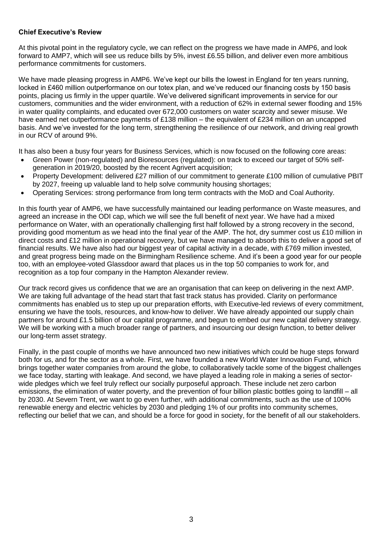### **Chief Executive's Review**

At this pivotal point in the regulatory cycle, we can reflect on the progress we have made in AMP6, and look forward to AMP7, which will see us reduce bills by 5%, invest £6.55 billion, and deliver even more ambitious performance commitments for customers.

We have made pleasing progress in AMP6. We've kept our bills the lowest in England for ten years running, locked in £460 million outperformance on our totex plan, and we've reduced our financing costs by 150 basis points, placing us firmly in the upper quartile. We've delivered significant improvements in service for our customers, communities and the wider environment, with a reduction of 62% in external sewer flooding and 15% in water quality complaints, and educated over 672,000 customers on water scarcity and sewer misuse. We have earned net outperformance payments of £138 million – the equivalent of £234 million on an uncapped basis. And we've invested for the long term, strengthening the resilience of our network, and driving real growth in our RCV of around 9%.

It has also been a busy four years for Business Services, which is now focused on the following core areas:

- Green Power (non-regulated) and Bioresources (regulated): on track to exceed our target of 50% selfgeneration in 2019/20, boosted by the recent Agrivert acquisition;
- Property Development: delivered £27 million of our commitment to generate £100 million of cumulative PBIT by 2027, freeing up valuable land to help solve community housing shortages;
- Operating Services: strong performance from long term contracts with the MoD and Coal Authority.

In this fourth year of AMP6, we have successfully maintained our leading performance on Waste measures, and agreed an increase in the ODI cap, which we will see the full benefit of next year. We have had a mixed performance on Water, with an operationally challenging first half followed by a strong recovery in the second, providing good momentum as we head into the final year of the AMP. The hot, dry summer cost us £10 million in direct costs and £12 million in operational recovery, but we have managed to absorb this to deliver a good set of financial results. We have also had our biggest year of capital activity in a decade, with £769 million invested, and great progress being made on the Birmingham Resilience scheme. And it's been a good year for our people too, with an employee-voted Glassdoor award that places us in the top 50 companies to work for, and recognition as a top four company in the Hampton Alexander review.

Our track record gives us confidence that we are an organisation that can keep on delivering in the next AMP. We are taking full advantage of the head start that fast track status has provided. Clarity on performance commitments has enabled us to step up our preparation efforts, with Executive-led reviews of every commitment, ensuring we have the tools, resources, and know-how to deliver. We have already appointed our supply chain partners for around £1.5 billion of our capital programme, and begun to embed our new capital delivery strategy. We will be working with a much broader range of partners, and insourcing our design function, to better deliver our long-term asset strategy.

Finally, in the past couple of months we have announced two new initiatives which could be huge steps forward both for us, and for the sector as a whole. First, we have founded a new World Water Innovation Fund, which brings together water companies from around the globe, to collaboratively tackle some of the biggest challenges we face today, starting with leakage. And second, we have played a leading role in making a series of sectorwide pledges which we feel truly reflect our socially purposeful approach. These include net zero carbon emissions, the elimination of water poverty, and the prevention of four billion plastic bottles going to landfill – all by 2030. At Severn Trent, we want to go even further, with additional commitments, such as the use of 100% renewable energy and electric vehicles by 2030 and pledging 1% of our profits into community schemes, reflecting our belief that we can, and should be a force for good in society, for the benefit of all our stakeholders.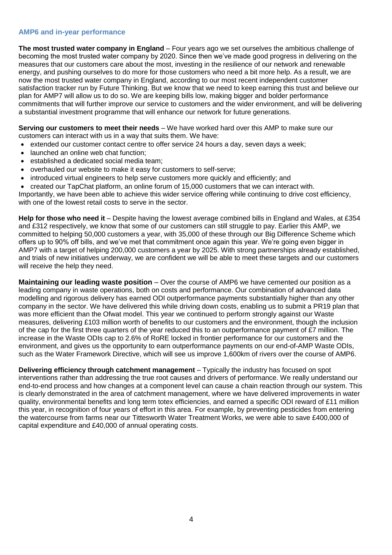### **AMP6 and in-year performance**

**The most trusted water company in England** – Four years ago we set ourselves the ambitious challenge of becoming the most trusted water company by 2020. Since then we've made good progress in delivering on the measures that our customers care about the most, investing in the resilience of our network and renewable energy, and pushing ourselves to do more for those customers who need a bit more help. As a result, we are now the most trusted water company in England, according to our most recent independent customer satisfaction tracker run by Future Thinking. But we know that we need to keep earning this trust and believe our plan for AMP7 will allow us to do so. We are keeping bills low, making bigger and bolder performance commitments that will further improve our service to customers and the wider environment, and will be delivering a substantial investment programme that will enhance our network for future generations.

**Serving our customers to meet their needs** – We have worked hard over this AMP to make sure our customers can interact with us in a way that suits them. We have:

- extended our customer contact centre to offer service 24 hours a day, seven days a week;
- launched an online web chat function:
- established a dedicated social media team;
- overhauled our website to make it easy for customers to self-serve;
- introduced virtual engineers to help serve customers more quickly and efficiently; and
- created our TapChat platform, an online forum of 15,000 customers that we can interact with.

Importantly, we have been able to achieve this wider service offering while continuing to drive cost efficiency, with one of the lowest retail costs to serve in the sector.

**Help for those who need it** – Despite having the lowest average combined bills in England and Wales, at £354 and £312 respectively, we know that some of our customers can still struggle to pay. Earlier this AMP, we committed to helping 50,000 customers a year, with 35,000 of these through our Big Difference Scheme which offers up to 90% off bills, and we've met that commitment once again this year. We're going even bigger in AMP7 with a target of helping 200,000 customers a year by 2025. With strong partnerships already established, and trials of new initiatives underway, we are confident we will be able to meet these targets and our customers will receive the help they need.

**Maintaining our leading waste position** – Over the course of AMP6 we have cemented our position as a leading company in waste operations, both on costs and performance. Our combination of advanced data modelling and rigorous delivery has earned ODI outperformance payments substantially higher than any other company in the sector. We have delivered this while driving down costs, enabling us to submit a PR19 plan that was more efficient than the Ofwat model. This year we continued to perform strongly against our Waste measures, delivering £103 million worth of benefits to our customers and the environment, though the inclusion of the cap for the first three quarters of the year reduced this to an outperformance payment of £7 million. The increase in the Waste ODIs cap to 2.6% of RoRE locked in frontier performance for our customers and the environment, and gives us the opportunity to earn outperformance payments on our end-of-AMP Waste ODIs, such as the Water Framework Directive, which will see us improve 1,600km of rivers over the course of AMP6.

**Delivering efficiency through catchment management** – Typically the industry has focused on spot interventions rather than addressing the true root causes and drivers of performance. We really understand our end-to-end process and how changes at a component level can cause a chain reaction through our system. This is clearly demonstrated in the area of catchment management, where we have delivered improvements in water quality, environmental benefits and long term totex efficiencies, and earned a specific ODI reward of £11 million this year, in recognition of four years of effort in this area. For example, by preventing pesticides from entering the watercourse from farms near our Tittesworth Water Treatment Works, we were able to save £400,000 of capital expenditure and £40,000 of annual operating costs.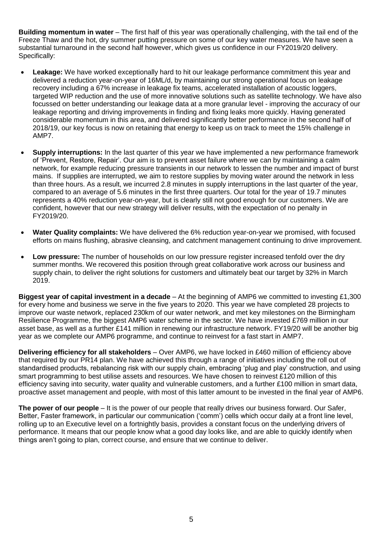**Building momentum in water** – The first half of this year was operationally challenging, with the tail end of the Freeze Thaw and the hot, dry summer putting pressure on some of our key water measures. We have seen a substantial turnaround in the second half however, which gives us confidence in our FY2019/20 delivery. Specifically:

- **Leakage:** We have worked exceptionally hard to hit our leakage performance commitment this year and delivered a reduction year-on-year of 16ML/d, by maintaining our strong operational focus on leakage recovery including a 67% increase in leakage fix teams, accelerated installation of acoustic loggers, targeted WIP reduction and the use of more innovative solutions such as satellite technology. We have also focussed on better understanding our leakage data at a more granular level - improving the accuracy of our leakage reporting and driving improvements in finding and fixing leaks more quickly. Having generated considerable momentum in this area, and delivered significantly better performance in the second half of 2018/19, our key focus is now on retaining that energy to keep us on track to meet the 15% challenge in AMP7.
- **Supply interruptions:** In the last quarter of this year we have implemented a new performance framework of 'Prevent, Restore, Repair'. Our aim is to prevent asset failure where we can by maintaining a calm network, for example reducing pressure transients in our network to lessen the number and impact of burst mains. If supplies are interrupted, we aim to restore supplies by moving water around the network in less than three hours. As a result, we incurred 2.8 minutes in supply interruptions in the last quarter of the year, compared to an average of 5.6 minutes in the first three quarters. Our total for the year of 19.7 minutes represents a 40% reduction year-on-year, but is clearly still not good enough for our customers. We are confident, however that our new strategy will deliver results, with the expectation of no penalty in FY2019/20.
- **Water Quality complaints:** We have delivered the 6% reduction year-on-year we promised, with focused efforts on mains flushing, abrasive cleansing, and catchment management continuing to drive improvement.
- **Low pressure:** The number of households on our low pressure register increased tenfold over the dry summer months. We recovered this position through great collaborative work across our business and supply chain, to deliver the right solutions for customers and ultimately beat our target by 32% in March 2019.

**Biggest year of capital investment in a decade** – At the beginning of AMP6 we committed to investing £1,300 for every home and business we serve in the five years to 2020. This year we have completed 28 projects to improve our waste network, replaced 230km of our water network, and met key milestones on the Birmingham Resilience Programme, the biggest AMP6 water scheme in the sector. We have invested £769 million in our asset base, as well as a further £141 million in renewing our infrastructure network. FY19/20 will be another big year as we complete our AMP6 programme, and continue to reinvest for a fast start in AMP7.

**Delivering efficiency for all stakeholders** – Over AMP6, we have locked in £460 million of efficiency above that required by our PR14 plan. We have achieved this through a range of initiatives including the roll out of standardised products, rebalancing risk with our supply chain, embracing 'plug and play' construction, and using smart programming to best utilise assets and resources. We have chosen to reinvest £120 million of this efficiency saving into security, water quality and vulnerable customers, and a further £100 million in smart data, proactive asset management and people, with most of this latter amount to be invested in the final year of AMP6.

**The power of our people** – It is the power of our people that really drives our business forward. Our Safer, Better, Faster framework, in particular our communication ('comm') cells which occur daily at a front line level, rolling up to an Executive level on a fortnightly basis, provides a constant focus on the underlying drivers of performance. It means that our people know what a good day looks like, and are able to quickly identify when things aren't going to plan, correct course, and ensure that we continue to deliver.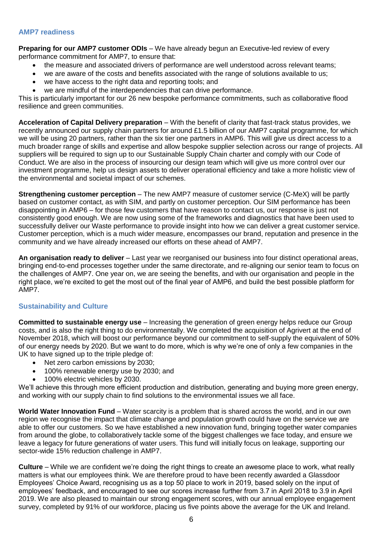### **AMP7 readiness**

**Preparing for our AMP7 customer ODIs** – We have already begun an Executive-led review of every performance commitment for AMP7, to ensure that:

- the measure and associated drivers of performance are well understood across relevant teams;
- we are aware of the costs and benefits associated with the range of solutions available to us;
- we have access to the right data and reporting tools; and
- we are mindful of the interdependencies that can drive performance.

This is particularly important for our 26 new bespoke performance commitments, such as collaborative flood resilience and green communities.

**Acceleration of Capital Delivery preparation** – With the benefit of clarity that fast-track status provides, we recently announced our supply chain partners for around £1.5 billion of our AMP7 capital programme, for which we will be using 20 partners, rather than the six tier one partners in AMP6. This will give us direct access to a much broader range of skills and expertise and allow bespoke supplier selection across our range of projects. All suppliers will be required to sign up to our Sustainable Supply Chain charter and comply with our Code of Conduct. We are also in the process of insourcing our design team which will give us more control over our investment programme, help us design assets to deliver operational efficiency and take a more holistic view of the environmental and societal impact of our schemes.

**Strengthening customer perception** – The new AMP7 measure of customer service (C-MeX) will be partly based on customer contact, as with SIM, and partly on customer perception. Our SIM performance has been disappointing in AMP6 – for those few customers that have reason to contact us, our response is just not consistently good enough. We are now using some of the frameworks and diagnostics that have been used to successfully deliver our Waste performance to provide insight into how we can deliver a great customer service. Customer perception, which is a much wider measure, encompasses our brand, reputation and presence in the community and we have already increased our efforts on these ahead of AMP7.

An organisation ready to deliver – Last year we reorganised our business into four distinct operational areas, bringing end-to-end processes together under the same directorate, and re-aligning our senior team to focus on the challenges of AMP7. One year on, we are seeing the benefits, and with our organisation and people in the right place, we're excited to get the most out of the final year of AMP6, and build the best possible platform for AMP7.

## **Sustainability and Culture**

**Committed to sustainable energy use** – Increasing the generation of green energy helps reduce our Group costs, and is also the right thing to do environmentally. We completed the acquisition of Agrivert at the end of November 2018, which will boost our performance beyond our commitment to self-supply the equivalent of 50% of our energy needs by 2020. But we want to do more, which is why we're one of only a few companies in the UK to have signed up to the triple pledge of:

- Net zero carbon emissions by 2030:
- 100% renewable energy use by 2030; and
- 100% electric vehicles by 2030.

We'll achieve this through more efficient production and distribution, generating and buying more green energy, and working with our supply chain to find solutions to the environmental issues we all face.

**World Water Innovation Fund** – Water scarcity is a problem that is shared across the world, and in our own region we recognise the impact that climate change and population growth could have on the service we are able to offer our customers. So we have established a new innovation fund, bringing together water companies from around the globe, to collaboratively tackle some of the biggest challenges we face today, and ensure we leave a legacy for future generations of water users. This fund will initially focus on leakage, supporting our sector-wide 15% reduction challenge in AMP7.

**Culture** – While we are confident we're doing the right things to create an awesome place to work, what really matters is what our employees think. We are therefore proud to have been recently awarded a Glassdoor Employees' Choice Award, recognising us as a top 50 place to work in 2019, based solely on the input of employees' feedback, and encouraged to see our scores increase further from 3.7 in April 2018 to 3.9 in April 2019. We are also pleased to maintain our strong engagement scores, with our annual employee engagement survey, completed by 91% of our workforce, placing us five points above the average for the UK and Ireland.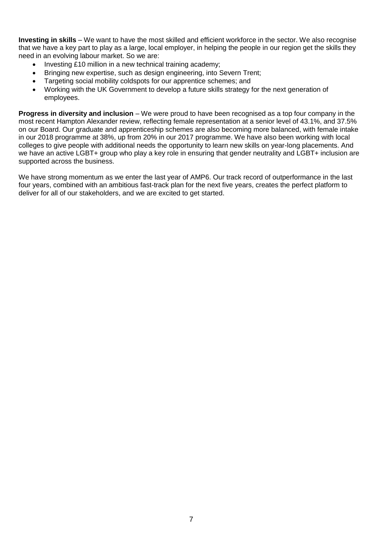**Investing in skills** – We want to have the most skilled and efficient workforce in the sector. We also recognise that we have a key part to play as a large, local employer, in helping the people in our region get the skills they need in an evolving labour market. So we are:

- Investing £10 million in a new technical training academy;
- Bringing new expertise, such as design engineering, into Severn Trent;
- Targeting social mobility coldspots for our apprentice schemes; and
- Working with the UK Government to develop a future skills strategy for the next generation of employees.

**Progress in diversity and inclusion** – We were proud to have been recognised as a top four company in the most recent Hampton Alexander review, reflecting female representation at a senior level of 43.1%, and 37.5% on our Board. Our graduate and apprenticeship schemes are also becoming more balanced, with female intake in our 2018 programme at 38%, up from 20% in our 2017 programme. We have also been working with local colleges to give people with additional needs the opportunity to learn new skills on year-long placements. And we have an active LGBT+ group who play a key role in ensuring that gender neutrality and LGBT+ inclusion are supported across the business.

We have strong momentum as we enter the last year of AMP6. Our track record of outperformance in the last four years, combined with an ambitious fast-track plan for the next five years, creates the perfect platform to deliver for all of our stakeholders, and we are excited to get started.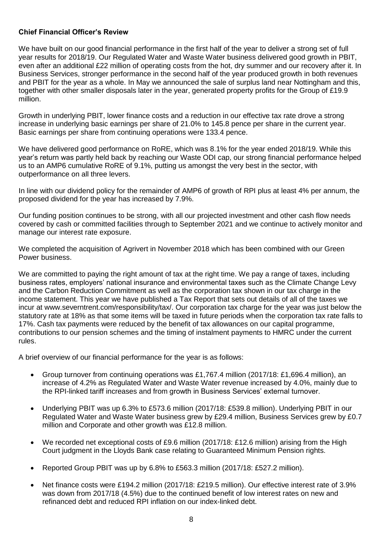## **Chief Financial Officer's Review**

We have built on our good financial performance in the first half of the year to deliver a strong set of full year results for 2018/19. Our Regulated Water and Waste Water business delivered good growth in PBIT, even after an additional £22 million of operating costs from the hot, dry summer and our recovery after it. In Business Services, stronger performance in the second half of the year produced growth in both revenues and PBIT for the year as a whole. In May we announced the sale of surplus land near Nottingham and this, together with other smaller disposals later in the year, generated property profits for the Group of £19.9 million.

Growth in underlying PBIT, lower finance costs and a reduction in our effective tax rate drove a strong increase in underlying basic earnings per share of 21.0% to 145.8 pence per share in the current year. Basic earnings per share from continuing operations were 133.4 pence.

We have delivered good performance on RoRE, which was 8.1% for the year ended 2018/19. While this year's return was partly held back by reaching our Waste ODI cap, our strong financial performance helped us to an AMP6 cumulative RoRE of 9.1%, putting us amongst the very best in the sector, with outperformance on all three levers.

In line with our dividend policy for the remainder of AMP6 of growth of RPI plus at least 4% per annum, the proposed dividend for the year has increased by 7.9%.

Our funding position continues to be strong, with all our projected investment and other cash flow needs covered by cash or committed facilities through to September 2021 and we continue to actively monitor and manage our interest rate exposure.

We completed the acquisition of Agrivert in November 2018 which has been combined with our Green Power business.

We are committed to paying the right amount of tax at the right time. We pay a range of taxes, including business rates, employers' national insurance and environmental taxes such as the Climate Change Levy and the Carbon Reduction Commitment as well as the corporation tax shown in our tax charge in the income statement. This year we have published a Tax Report that sets out details of all of the taxes we incur at www.severntrent.com/responsibility/tax/. Our corporation tax charge for the year was just below the statutory rate at 18% as that some items will be taxed in future periods when the corporation tax rate falls to 17%. Cash tax payments were reduced by the benefit of tax allowances on our capital programme, contributions to our pension schemes and the timing of instalment payments to HMRC under the current rules.

A brief overview of our financial performance for the year is as follows:

- Group turnover from continuing operations was £1,767.4 million (2017/18: £1,696.4 million), an increase of 4.2% as Regulated Water and Waste Water revenue increased by 4.0%, mainly due to the RPI-linked tariff increases and from growth in Business Services' external turnover.
- Underlying PBIT was up 6.3% to £573.6 million (2017/18: £539.8 million). Underlying PBIT in our Regulated Water and Waste Water business grew by £29.4 million, Business Services grew by £0.7 million and Corporate and other growth was £12.8 million.
- We recorded net exceptional costs of £9.6 million (2017/18: £12.6 million) arising from the High Court judgment in the Lloyds Bank case relating to Guaranteed Minimum Pension rights.
- Reported Group PBIT was up by 6.8% to £563.3 million (2017/18: £527.2 million).
- Net finance costs were £194.2 million (2017/18: £219.5 million). Our effective interest rate of 3.9% was down from 2017/18 (4.5%) due to the continued benefit of low interest rates on new and refinanced debt and reduced RPI inflation on our index-linked debt.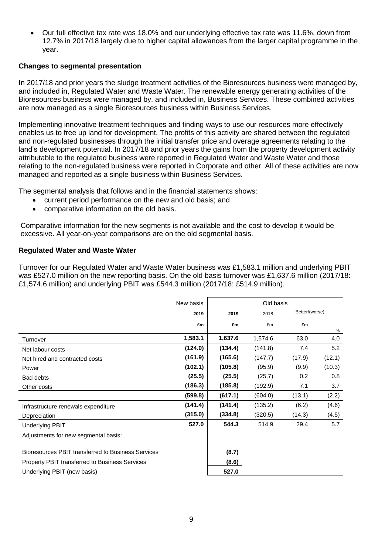Our full effective tax rate was 18.0% and our underlying effective tax rate was 11.6%, down from 12.7% in 2017/18 largely due to higher capital allowances from the larger capital programme in the year.

## **Changes to segmental presentation**

In 2017/18 and prior years the sludge treatment activities of the Bioresources business were managed by, and included in, Regulated Water and Waste Water. The renewable energy generating activities of the Bioresources business were managed by, and included in, Business Services. These combined activities are now managed as a single Bioresources business within Business Services.

Implementing innovative treatment techniques and finding ways to use our resources more effectively enables us to free up land for development. The profits of this activity are shared between the regulated and non-regulated businesses through the initial transfer price and overage agreements relating to the land's development potential. In 2017/18 and prior years the gains from the property development activity attributable to the regulated business were reported in Regulated Water and Waste Water and those relating to the non-regulated business were reported in Corporate and other. All of these activities are now managed and reported as a single business within Business Services.

The segmental analysis that follows and in the financial statements shows:

- current period performance on the new and old basis; and
- comparative information on the old basis.

Comparative information for the new segments is not available and the cost to develop it would be excessive. All year-on-year comparisons are on the old segmental basis.

## **Regulated Water and Waste Water**

Turnover for our Regulated Water and Waste Water business was £1,583.1 million and underlying PBIT was £527.0 million on the new reporting basis. On the old basis turnover was £1,637.6 million (2017/18: £1,574.6 million) and underlying PBIT was £544.3 million (2017/18: £514.9 million).

|                                                       | New basis | Old basis |         |                |          |
|-------------------------------------------------------|-----------|-----------|---------|----------------|----------|
|                                                       | 2019      | 2019      | 2018    | Better/(worse) |          |
|                                                       | £m        | £m        | £m      | £m             |          |
| Turnover                                              | 1,583.1   | 1,637.6   | 1,574.6 | 63.0           | %<br>4.0 |
| Net labour costs                                      | (124.0)   | (134.4)   | (141.8) | 7.4            | 5.2      |
| Net hired and contracted costs                        | (161.9)   | (165.6)   | (147.7) | (17.9)         | (12.1)   |
| Power                                                 | (102.1)   | (105.8)   | (95.9)  | (9.9)          | (10.3)   |
| Bad debts                                             | (25.5)    | (25.5)    | (25.7)  | 0.2            | 0.8      |
| Other costs                                           | (186.3)   | (185.8)   | (192.9) | 7.1            | 3.7      |
|                                                       | (599.8)   | (617.1)   | (604.0) | (13.1)         | (2.2)    |
| Infrastructure renewals expenditure                   | (141.4)   | (141.4)   | (135.2) | (6.2)          | (4.6)    |
| Depreciation                                          | (315.0)   | (334.8)   | (320.5) | (14.3)         | (4.5)    |
| <b>Underlying PBIT</b>                                | 527.0     | 544.3     | 514.9   | 29.4           | 5.7      |
| Adjustments for new segmental basis:                  |           |           |         |                |          |
|                                                       |           |           |         |                |          |
| Bioresources PBIT transferred to Business Services    |           | (8.7)     |         |                |          |
| <b>Property PBIT transferred to Business Services</b> |           | (8.6)     |         |                |          |
| Underlying PBIT (new basis)                           |           | 527.0     |         |                |          |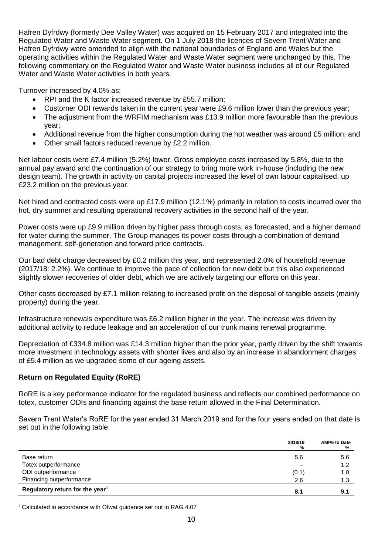Hafren Dyfrdwy (formerly Dee Valley Water) was acquired on 15 February 2017 and integrated into the Regulated Water and Waste Water segment. On 1 July 2018 the licences of Severn Trent Water and Hafren Dyfrdwy were amended to align with the national boundaries of England and Wales but the operating activities within the Regulated Water and Waste Water segment were unchanged by this. The following commentary on the Regulated Water and Waste Water business includes all of our Regulated Water and Waste Water activities in both years.

Turnover increased by 4.0% as:

- RPI and the K factor increased revenue by £55.7 million:
- Customer ODI rewards taken in the current year were £9.6 million lower than the previous year;
- The adjustment from the WRFIM mechanism was £13.9 million more favourable than the previous year;
- Additional revenue from the higher consumption during the hot weather was around £5 million; and
- Other small factors reduced revenue by £2.2 million.

Net labour costs were £7.4 million (5.2%) lower. Gross employee costs increased by 5.8%, due to the annual pay award and the continuation of our strategy to bring more work in-house (including the new design team). The growth in activity on capital projects increased the level of own labour capitalised, up £23.2 million on the previous year.

Net hired and contracted costs were up £17.9 million (12.1%) primarily in relation to costs incurred over the hot, dry summer and resulting operational recovery activities in the second half of the year.

Power costs were up £9.9 million driven by higher pass through costs, as forecasted, and a higher demand for water during the summer. The Group manages its power costs through a combination of demand management, self-generation and forward price contracts.

Our bad debt charge decreased by £0.2 million this year, and represented 2.0% of household revenue (2017/18: 2.2%). We continue to improve the pace of collection for new debt but this also experienced slightly slower recoveries of older debt, which we are actively targeting our efforts on this year.

Other costs decreased by £7.1 million relating to increased profit on the disposal of tangible assets (mainly property) during the year.

Infrastructure renewals expenditure was £6.2 million higher in the year. The increase was driven by additional activity to reduce leakage and an acceleration of our trunk mains renewal programme.

Depreciation of £334.8 million was £14.3 million higher than the prior year, partly driven by the shift towards more investment in technology assets with shorter lives and also by an increase in abandonment charges of £5.4 million as we upgraded some of our ageing assets.

## **Return on Regulated Equity (RoRE)**

RoRE is a key performance indicator for the regulated business and reflects our combined performance on totex, customer ODIs and financing against the base return allowed in the Final Determination.

Severn Trent Water's RoRE for the year ended 31 March 2019 and for the four years ended on that date is set out in the following table:

|                                             | 2018/19<br>%             | AMP6 to Date<br>% |
|---------------------------------------------|--------------------------|-------------------|
| Base return                                 | 5.6                      | 5.6               |
| Totex outperformance                        | $\overline{\phantom{a}}$ | 1.2               |
| ODI outperformance                          | (0.1)                    | 1.0               |
| Financing outperformance                    | 2.6                      | 1.3               |
| Regulatory return for the year <sup>1</sup> | 8.1                      | 9.1               |

<sup>1</sup> Calculated in accordance with Ofwat guidance set out in RAG 4.07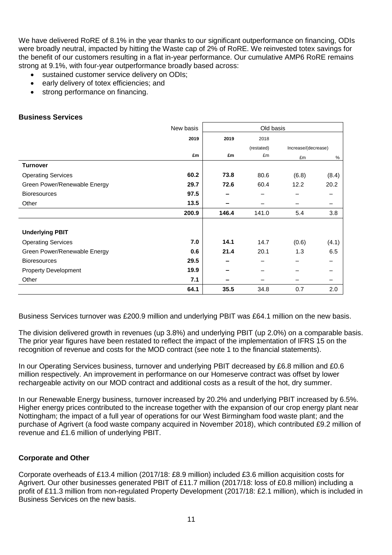We have delivered RoRE of 8.1% in the year thanks to our significant outperformance on financing, ODIs were broadly neutral, impacted by hitting the Waste cap of 2% of RoRE. We reinvested totex savings for the benefit of our customers resulting in a flat in-year performance. Our cumulative AMP6 RoRE remains strong at 9.1%, with four-year outperformance broadly based across:

- sustained customer service delivery on ODIs;
- early delivery of totex efficiencies; and
- strong performance on financing.

## **Business Services**

|                              | New basis | Old basis |            |                     |       |
|------------------------------|-----------|-----------|------------|---------------------|-------|
|                              | 2019      | 2019      | 2018       |                     |       |
|                              |           |           | (restated) | Increase/(decrease) |       |
|                              | £m        | £m        | £m         | £m                  | %     |
| <b>Turnover</b>              |           |           |            |                     |       |
| <b>Operating Services</b>    | 60.2      | 73.8      | 80.6       | (6.8)               | (8.4) |
| Green Power/Renewable Energy | 29.7      | 72.6      | 60.4       | 12.2                | 20.2  |
| <b>Bioresources</b>          | 97.5      |           |            |                     |       |
| Other                        | 13.5      |           |            |                     |       |
|                              | 200.9     | 146.4     | 141.0      | 5.4                 | 3.8   |
|                              |           |           |            |                     |       |
| <b>Underlying PBIT</b>       |           |           |            |                     |       |
| <b>Operating Services</b>    | 7.0       | 14.1      | 14.7       | (0.6)               | (4.1) |
| Green Power/Renewable Energy | 0.6       | 21.4      | 20.1       | 1.3                 | 6.5   |
| <b>Bioresources</b>          | 29.5      |           |            |                     |       |
| <b>Property Development</b>  | 19.9      |           |            |                     |       |
| Other                        | 7.1       |           |            |                     |       |
|                              | 64.1      | 35.5      | 34.8       | 0.7                 | 2.0   |

Business Services turnover was £200.9 million and underlying PBIT was £64.1 million on the new basis.

The division delivered growth in revenues (up 3.8%) and underlying PBIT (up 2.0%) on a comparable basis. The prior year figures have been restated to reflect the impact of the implementation of IFRS 15 on the recognition of revenue and costs for the MOD contract (see note 1 to the financial statements).

In our Operating Services business, turnover and underlying PBIT decreased by £6.8 million and £0.6 million respectively. An improvement in performance on our Homeserve contract was offset by lower rechargeable activity on our MOD contract and additional costs as a result of the hot, dry summer.

In our Renewable Energy business, turnover increased by 20.2% and underlying PBIT increased by 6.5%. Higher energy prices contributed to the increase together with the expansion of our crop energy plant near Nottingham; the impact of a full year of operations for our West Birmingham food waste plant; and the purchase of Agrivert (a food waste company acquired in November 2018), which contributed £9.2 million of revenue and £1.6 million of underlying PBIT.

## **Corporate and Other**

Corporate overheads of £13.4 million (2017/18: £8.9 million) included £3.6 million acquisition costs for Agrivert. Our other businesses generated PBIT of £11.7 million (2017/18: loss of £0.8 million) including a profit of £11.3 million from non-regulated Property Development (2017/18: £2.1 million), which is included in Business Services on the new basis.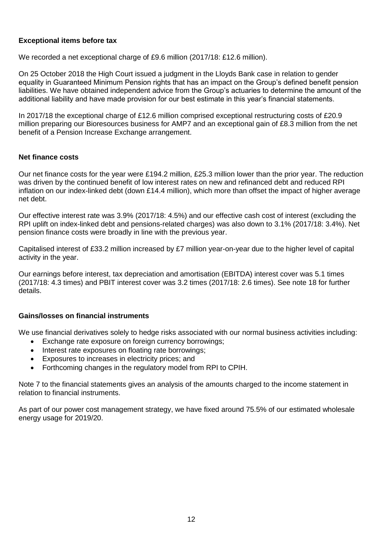## **Exceptional items before tax**

We recorded a net exceptional charge of £9.6 million (2017/18: £12.6 million).

On 25 October 2018 the High Court issued a judgment in the Lloyds Bank case in relation to gender equality in Guaranteed Minimum Pension rights that has an impact on the Group's defined benefit pension liabilities. We have obtained independent advice from the Group's actuaries to determine the amount of the additional liability and have made provision for our best estimate in this year's financial statements.

In 2017/18 the exceptional charge of £12.6 million comprised exceptional restructuring costs of £20.9 million preparing our Bioresources business for AMP7 and an exceptional gain of £8.3 million from the net benefit of a Pension Increase Exchange arrangement.

## **Net finance costs**

Our net finance costs for the year were £194.2 million, £25.3 million lower than the prior year. The reduction was driven by the continued benefit of low interest rates on new and refinanced debt and reduced RPI inflation on our index-linked debt (down £14.4 million), which more than offset the impact of higher average net debt.

Our effective interest rate was 3.9% (2017/18: 4.5%) and our effective cash cost of interest (excluding the RPI uplift on index-linked debt and pensions-related charges) was also down to 3.1% (2017/18: 3.4%). Net pension finance costs were broadly in line with the previous year.

Capitalised interest of £33.2 million increased by £7 million year-on-year due to the higher level of capital activity in the year.

Our earnings before interest, tax depreciation and amortisation (EBITDA) interest cover was 5.1 times (2017/18: 4.3 times) and PBIT interest cover was 3.2 times (2017/18: 2.6 times). See note 18 for further details.

## **Gains/losses on financial instruments**

We use financial derivatives solely to hedge risks associated with our normal business activities including:

- Exchange rate exposure on foreign currency borrowings;
- Interest rate exposures on floating rate borrowings:
- Exposures to increases in electricity prices; and
- Forthcoming changes in the regulatory model from RPI to CPIH.

Note 7 to the financial statements gives an analysis of the amounts charged to the income statement in relation to financial instruments.

As part of our power cost management strategy, we have fixed around 75.5% of our estimated wholesale energy usage for 2019/20.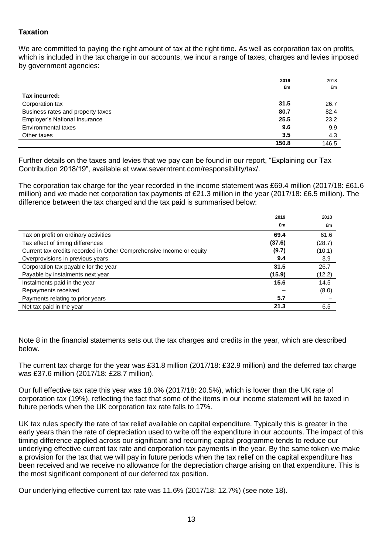## **Taxation**

We are committed to paying the right amount of tax at the right time. As well as corporation tax on profits, which is included in the tax charge in our accounts, we incur a range of taxes, charges and levies imposed by government agencies:

|                                   | 2019  | 2018  |
|-----------------------------------|-------|-------|
|                                   | £m    | £m    |
| Tax incurred:                     |       |       |
| Corporation tax                   | 31.5  | 26.7  |
| Business rates and property taxes | 80.7  | 82.4  |
| Employer's National Insurance     | 25.5  | 23.2  |
| Environmental taxes               | 9.6   | 9.9   |
| Other taxes                       | 3.5   | 4.3   |
|                                   | 150.8 | 146.5 |

Further details on the taxes and levies that we pay can be found in our report, "Explaining our Tax Contribution 2018/19", available at www.severntrent.com/responsibility/tax/.

The corporation tax charge for the year recorded in the income statement was £69.4 million (2017/18: £61.6 million) and we made net corporation tax payments of £21.3 million in the year (2017/18: £6.5 million). The difference between the tax charged and the tax paid is summarised below:

|                                                                      | 2019   | 2018   |
|----------------------------------------------------------------------|--------|--------|
|                                                                      | £m     | £m     |
| Tax on profit on ordinary activities                                 | 69.4   | 61.6   |
| Tax effect of timing differences                                     | (37.6) | (28.7) |
| Current tax credits recorded in Other Comprehensive Income or equity | (9.7)  | (10.1) |
| Overprovisions in previous years                                     | 9.4    | 3.9    |
| Corporation tax payable for the year                                 | 31.5   | 26.7   |
| Payable by instalments next year                                     | (15.9) | (12.2) |
| Instalments paid in the year                                         | 15.6   | 14.5   |
| Repayments received                                                  |        | (8.0)  |
| Payments relating to prior years                                     | 5.7    |        |
| Net tax paid in the year                                             | 21.3   | 6.5    |

Note 8 in the financial statements sets out the tax charges and credits in the year, which are described below.

The current tax charge for the year was £31.8 million (2017/18: £32.9 million) and the deferred tax charge was £37.6 million (2017/18: £28.7 million).

Our full effective tax rate this year was 18.0% (2017/18: 20.5%), which is lower than the UK rate of corporation tax (19%), reflecting the fact that some of the items in our income statement will be taxed in future periods when the UK corporation tax rate falls to 17%.

UK tax rules specify the rate of tax relief available on capital expenditure. Typically this is greater in the early years than the rate of depreciation used to write off the expenditure in our accounts. The impact of this timing difference applied across our significant and recurring capital programme tends to reduce our underlying effective current tax rate and corporation tax payments in the year. By the same token we make a provision for the tax that we will pay in future periods when the tax relief on the capital expenditure has been received and we receive no allowance for the depreciation charge arising on that expenditure. This is the most significant component of our deferred tax position.

Our underlying effective current tax rate was 11.6% (2017/18: 12.7%) (see note 18).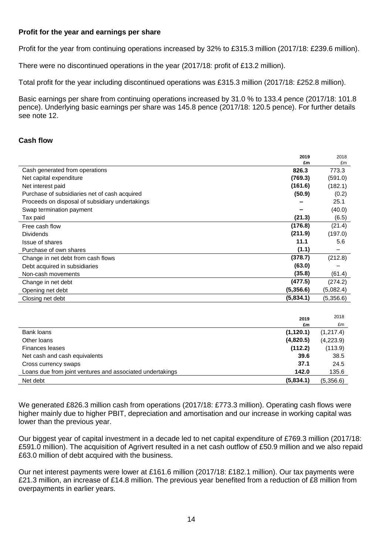## **Profit for the year and earnings per share**

Profit for the year from continuing operations increased by 32% to £315.3 million (2017/18: £239.6 million).

There were no discontinued operations in the year (2017/18: profit of £13.2 million).

Total profit for the year including discontinued operations was £315.3 million (2017/18: £252.8 million).

Basic earnings per share from continuing operations increased by 31.0 % to 133.4 pence (2017/18: 101.8 pence). Underlying basic earnings per share was 145.8 pence (2017/18: 120.5 pence). For further details see note 12.

## **Cash flow**

|                                                 | 2019      | 2018      |
|-------------------------------------------------|-----------|-----------|
|                                                 | £m        | £m        |
| Cash generated from operations                  | 826.3     | 773.3     |
| Net capital expenditure                         | (769.3)   | (591.0)   |
| Net interest paid                               | (161.6)   | (182.1)   |
| Purchase of subsidiaries net of cash acquired   | (50.9)    | (0.2)     |
| Proceeds on disposal of subsidiary undertakings |           | 25.1      |
| Swap termination payment                        |           | (40.0)    |
| Tax paid                                        | (21.3)    | (6.5)     |
| Free cash flow                                  | (176.8)   | (21.4)    |
| <b>Dividends</b>                                | (211.9)   | (197.0)   |
| Issue of shares                                 | 11.1      | 5.6       |
| Purchase of own shares                          | (1.1)     |           |
| Change in net debt from cash flows              | (378.7)   | (212.8)   |
| Debt acquired in subsidiaries                   | (63.0)    |           |
| Non-cash movements                              | (35.8)    | (61.4)    |
| Change in net debt                              | (477.5)   | (274.2)   |
| Opening net debt                                | (5,356.6) | (5,082.4) |
| Closing net debt                                | (5,834.1) | (5,356.6) |

| 2019                                                               |    | 2018      |
|--------------------------------------------------------------------|----|-----------|
|                                                                    | £m | £m        |
| Bank loans<br>(1, 120.1)                                           |    | (1,217.4) |
| (4,820.5)<br>Other loans                                           |    | (4,223.9) |
| (112.2)<br><b>Finances leases</b>                                  |    | (113.9)   |
| Net cash and cash equivalents<br>39.6                              |    | 38.5      |
| 37.1<br>Cross currency swaps                                       |    | 24.5      |
| Loans due from joint ventures and associated undertakings<br>142.0 |    | 135.6     |
| (5,834.1)<br>Net debt                                              |    | (5,356.6) |

We generated £826.3 million cash from operations (2017/18: £773.3 million). Operating cash flows were higher mainly due to higher PBIT, depreciation and amortisation and our increase in working capital was lower than the previous year.

Our biggest year of capital investment in a decade led to net capital expenditure of £769.3 million (2017/18: £591.0 million). The acquisition of Agrivert resulted in a net cash outflow of £50.9 million and we also repaid £63.0 million of debt acquired with the business.

Our net interest payments were lower at £161.6 million (2017/18: £182.1 million). Our tax payments were £21.3 million, an increase of £14.8 million. The previous year benefited from a reduction of £8 million from overpayments in earlier years.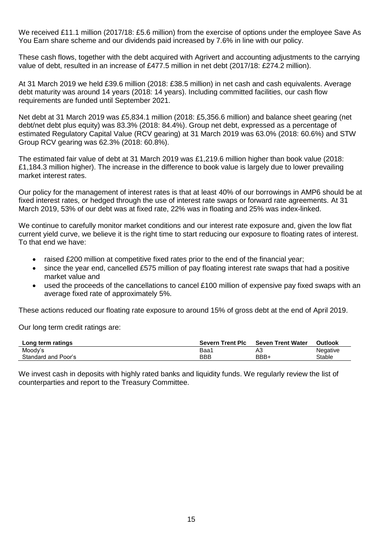We received £11.1 million (2017/18: £5.6 million) from the exercise of options under the employee Save As You Earn share scheme and our dividends paid increased by 7.6% in line with our policy.

These cash flows, together with the debt acquired with Agrivert and accounting adjustments to the carrying value of debt, resulted in an increase of £477.5 million in net debt (2017/18: £274.2 million).

At 31 March 2019 we held £39.6 million (2018: £38.5 million) in net cash and cash equivalents. Average debt maturity was around 14 years (2018: 14 years). Including committed facilities, our cash flow requirements are funded until September 2021.

Net debt at 31 March 2019 was £5,834.1 million (2018: £5,356.6 million) and balance sheet gearing (net debt/net debt plus equity) was 83.3% (2018: 84.4%). Group net debt, expressed as a percentage of estimated Regulatory Capital Value (RCV gearing) at 31 March 2019 was 63.0% (2018: 60.6%) and STW Group RCV gearing was 62.3% (2018: 60.8%).

The estimated fair value of debt at 31 March 2019 was £1,219.6 million higher than book value (2018: £1,184.3 million higher). The increase in the difference to book value is largely due to lower prevailing market interest rates.

Our policy for the management of interest rates is that at least 40% of our borrowings in AMP6 should be at fixed interest rates, or hedged through the use of interest rate swaps or forward rate agreements. At 31 March 2019, 53% of our debt was at fixed rate, 22% was in floating and 25% was index-linked.

We continue to carefully monitor market conditions and our interest rate exposure and, given the low flat current yield curve, we believe it is the right time to start reducing our exposure to floating rates of interest. To that end we have:

- raised £200 million at competitive fixed rates prior to the end of the financial year;
- since the year end, cancelled £575 million of pay floating interest rate swaps that had a positive market value and
- used the proceeds of the cancellations to cancel £100 million of expensive pay fixed swaps with an average fixed rate of approximately 5%.

These actions reduced our floating rate exposure to around 15% of gross debt at the end of April 2019.

Our long term credit ratings are:

| Long term ratings   | <b>Severn Trent Plc</b> | <b>Seven Trent Water</b> | Outlook  |
|---------------------|-------------------------|--------------------------|----------|
| Moody's             | Baa1                    | AЗ                       | Negative |
| Standard and Poor's | <b>BBB</b>              | BBB+                     | Stable   |

We invest cash in deposits with highly rated banks and liquidity funds. We regularly review the list of counterparties and report to the Treasury Committee.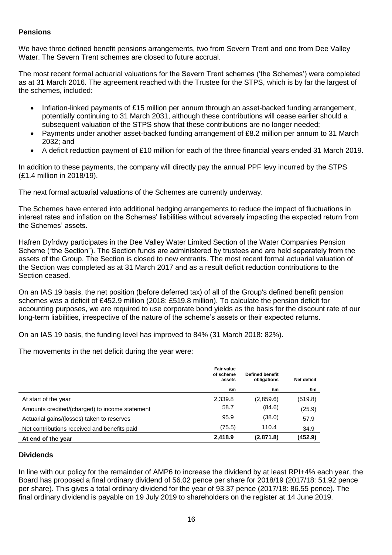## **Pensions**

We have three defined benefit pensions arrangements, two from Severn Trent and one from Dee Valley Water. The Severn Trent schemes are closed to future accrual.

The most recent formal actuarial valuations for the Severn Trent schemes ('the Schemes') were completed as at 31 March 2016. The agreement reached with the Trustee for the STPS, which is by far the largest of the schemes, included:

- Inflation-linked payments of £15 million per annum through an asset-backed funding arrangement, potentially continuing to 31 March 2031, although these contributions will cease earlier should a subsequent valuation of the STPS show that these contributions are no longer needed;
- Payments under another asset-backed funding arrangement of £8.2 million per annum to 31 March 2032; and
- A deficit reduction payment of £10 million for each of the three financial years ended 31 March 2019.

In addition to these payments, the company will directly pay the annual PPF levy incurred by the STPS (£1.4 million in 2018/19).

The next formal actuarial valuations of the Schemes are currently underway.

The Schemes have entered into additional hedging arrangements to reduce the impact of fluctuations in interest rates and inflation on the Schemes' liabilities without adversely impacting the expected return from the Schemes' assets.

Hafren Dyfrdwy participates in the Dee Valley Water Limited Section of the Water Companies Pension Scheme ("the Section"). The Section funds are administered by trustees and are held separately from the assets of the Group. The Section is closed to new entrants. The most recent formal actuarial valuation of the Section was completed as at 31 March 2017 and as a result deficit reduction contributions to the Section ceased.

On an IAS 19 basis, the net position (before deferred tax) of all of the Group's defined benefit pension schemes was a deficit of £452.9 million (2018: £519.8 million). To calculate the pension deficit for accounting purposes, we are required to use corporate bond yields as the basis for the discount rate of our long-term liabilities, irrespective of the nature of the scheme's assets or their expected returns.

On an IAS 19 basis, the funding level has improved to 84% (31 March 2018: 82%).

The movements in the net deficit during the year were:

|                                                | <b>Fair value</b><br>of scheme<br>assets | <b>Defined benefit</b><br>obligations | <b>Net deficit</b> |
|------------------------------------------------|------------------------------------------|---------------------------------------|--------------------|
|                                                | £m                                       | £m                                    | £m                 |
| At start of the year                           | 2,339.8                                  | (2,859.6)                             | (519.8)            |
| Amounts credited/(charged) to income statement | 58.7                                     | (84.6)                                | (25.9)             |
| Actuarial gains/(losses) taken to reserves     | 95.9                                     | (38.0)                                | 57.9               |
| Net contributions received and benefits paid   | (75.5)                                   | 110.4                                 | 34.9               |
| At end of the year                             | 2,418.9                                  | (2,871.8)                             | (452.9)            |

## **Dividends**

In line with our policy for the remainder of AMP6 to increase the dividend by at least RPI+4% each year, the Board has proposed a final ordinary dividend of 56.02 pence per share for 2018/19 (2017/18: 51.92 pence per share). This gives a total ordinary dividend for the year of 93.37 pence (2017/18: 86.55 pence). The final ordinary dividend is payable on 19 July 2019 to shareholders on the register at 14 June 2019.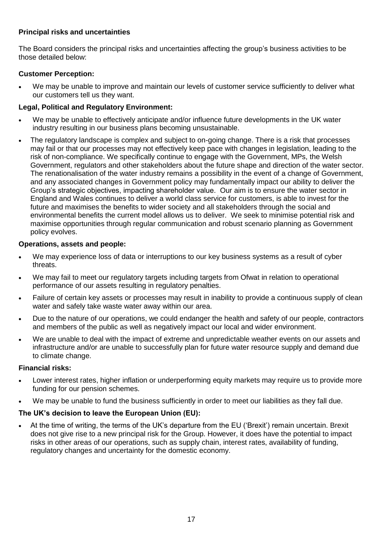## **Principal risks and uncertainties**

The Board considers the principal risks and uncertainties affecting the group's business activities to be those detailed below:

## **Customer Perception:**

 We may be unable to improve and maintain our levels of customer service sufficiently to deliver what our customers tell us they want.

## **Legal, Political and Regulatory Environment:**

- We may be unable to effectively anticipate and/or influence future developments in the UK water industry resulting in our business plans becoming unsustainable.
- The regulatory landscape is complex and subject to on-going change. There is a risk that processes may fail or that our processes may not effectively keep pace with changes in legislation, leading to the risk of non-compliance. We specifically continue to engage with the Government, MPs, the Welsh Government, regulators and other stakeholders about the future shape and direction of the water sector. The renationalisation of the water industry remains a possibility in the event of a change of Government, and any associated changes in Government policy may fundamentally impact our ability to deliver the Group's strategic objectives, impacting shareholder value. Our aim is to ensure the water sector in England and Wales continues to deliver a world class service for customers, is able to invest for the future and maximises the benefits to wider society and all stakeholders through the social and environmental benefits the current model allows us to deliver. We seek to minimise potential risk and maximise opportunities through regular communication and robust scenario planning as Government policy evolves.

## **Operations, assets and people:**

- We may experience loss of data or interruptions to our key business systems as a result of cyber threats.
- We may fail to meet our regulatory targets including targets from Ofwat in relation to operational performance of our assets resulting in regulatory penalties.
- Failure of certain key assets or processes may result in inability to provide a continuous supply of clean water and safely take waste water away within our area.
- Due to the nature of our operations, we could endanger the health and safety of our people, contractors and members of the public as well as negatively impact our local and wider environment.
- We are unable to deal with the impact of extreme and unpredictable weather events on our assets and infrastructure and/or are unable to successfully plan for future water resource supply and demand due to climate change.

## **Financial risks:**

- Lower interest rates, higher inflation or underperforming equity markets may require us to provide more funding for our pension schemes.
- We may be unable to fund the business sufficiently in order to meet our liabilities as they fall due.

## **The UK's decision to leave the European Union (EU):**

 At the time of writing, the terms of the UK's departure from the EU ('Brexit') remain uncertain. Brexit does not give rise to a new principal risk for the Group. However, it does have the potential to impact risks in other areas of our operations, such as supply chain, interest rates, availability of funding, regulatory changes and uncertainty for the domestic economy.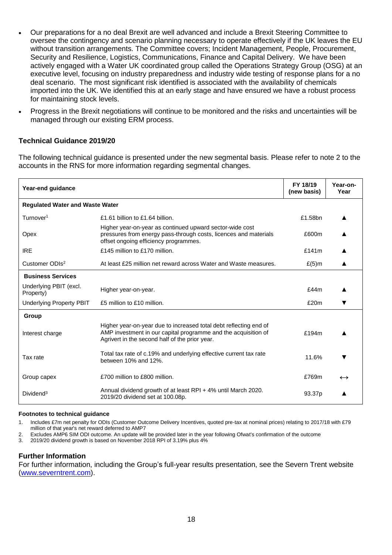- Our preparations for a no deal Brexit are well advanced and include a Brexit Steering Committee to oversee the contingency and scenario planning necessary to operate effectively if the UK leaves the EU without transition arrangements. The Committee covers; Incident Management, People, Procurement, Security and Resilience, Logistics, Communications, Finance and Capital Delivery. We have been actively engaged with a Water UK coordinated group called the Operations Strategy Group (OSG) at an executive level, focusing on industry preparedness and industry wide testing of response plans for a no deal scenario. The most significant risk identified is associated with the availability of chemicals imported into the UK. We identified this at an early stage and have ensured we have a robust process for maintaining stock levels.
- Progress in the Brexit negotiations will continue to be monitored and the risks and uncertainties will be managed through our existing ERM process.

## **Technical Guidance 2019/20**

The following technical guidance is presented under the new segmental basis. Please refer to note 2 to the accounts in the RNS for more information regarding segmental changes.

| Year-end guidance                      |                                                                                                                                                                                       | FY 18/19<br>(new basis) | Year-on-<br>Year  |
|----------------------------------------|---------------------------------------------------------------------------------------------------------------------------------------------------------------------------------------|-------------------------|-------------------|
| <b>Regulated Water and Waste Water</b> |                                                                                                                                                                                       |                         |                   |
| Turnover <sup>1</sup>                  | £1.61 billion to £1.64 billion.                                                                                                                                                       | £1.58bn                 |                   |
| Opex                                   | Higher year-on-year as continued upward sector-wide cost<br>pressures from energy pass-through costs, licences and materials<br>offset ongoing efficiency programmes.                 | £600m                   |                   |
| <b>IRE</b>                             | £145 million to £170 million.                                                                                                                                                         | £141m                   |                   |
| Customer ODIs <sup>2</sup>             | At least £25 million net reward across Water and Waste measures.                                                                                                                      | $£(5)$ m                |                   |
| <b>Business Services</b>               |                                                                                                                                                                                       |                         |                   |
| Underlying PBIT (excl.<br>Property)    | Higher year-on-year.                                                                                                                                                                  | £44m                    |                   |
| <b>Underlying Property PBIT</b>        | £5 million to £10 million.                                                                                                                                                            | £20m                    |                   |
| Group                                  |                                                                                                                                                                                       |                         |                   |
| Interest charge                        | Higher year-on-year due to increased total debt reflecting end of<br>AMP investment in our capital programme and the acquisition of<br>Agrivert in the second half of the prior year. | £194m                   |                   |
| Tax rate                               | Total tax rate of c.19% and underlying effective current tax rate<br>between 10% and 12%.                                                                                             | 11.6%                   |                   |
| Group capex                            | £700 million to £800 million.                                                                                                                                                         | £769m                   | $\leftrightarrow$ |
| Dividend <sup>3</sup>                  | Annual dividend growth of at least RPI + 4% until March 2020.<br>2019/20 dividend set at 100.08p.                                                                                     | 93.37 <sub>p</sub>      |                   |

### **Footnotes to technical guidance**

- 1. Includes £7m net penalty for ODIs (Customer Outcome Delivery Incentives, quoted pre-tax at nominal prices) relating to 2017/18 with £79 million of that year's net reward deferred to AMP7
- 2. Excludes AMP6 SIM ODI outcome. An update will be provided later in the year following Ofwat's confirmation of the outcome
- 3. 2019/20 dividend growth is based on November 2018 RPI of 3.19% plus 4%

## **Further Information**

For further information, including the Group's full-year results presentation, see the Severn Trent website [\(www.severntrent.com\)](http://www.severntrent.com/).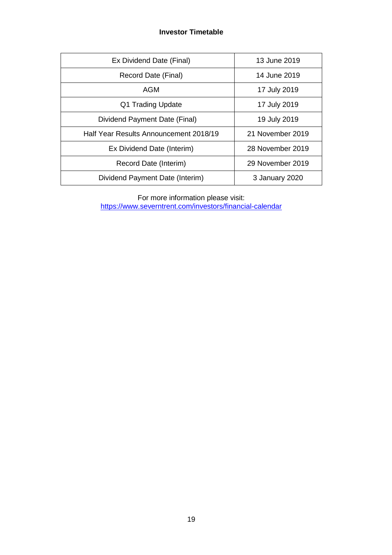## **Investor Timetable**

| Ex Dividend Date (Final)               | 13 June 2019     |
|----------------------------------------|------------------|
| Record Date (Final)                    | 14 June 2019     |
| AGM                                    | 17 July 2019     |
| Q1 Trading Update                      | 17 July 2019     |
| Dividend Payment Date (Final)          | 19 July 2019     |
| Half Year Results Announcement 2018/19 | 21 November 2019 |
| Ex Dividend Date (Interim)             | 28 November 2019 |
| Record Date (Interim)                  | 29 November 2019 |
| Dividend Payment Date (Interim)        | 3 January 2020   |

For more information please visit: <https://www.severntrent.com/investors/financial-calendar>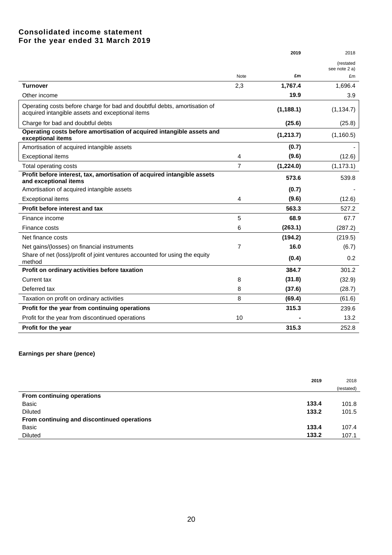## **Consolidated income statement For the year ended 31 March 2019**

|                                                                                                                               |                | 2019       | 2018                |
|-------------------------------------------------------------------------------------------------------------------------------|----------------|------------|---------------------|
|                                                                                                                               |                |            | (restated           |
|                                                                                                                               | Note           | £m         | see note 2 a)<br>£m |
| <b>Turnover</b>                                                                                                               | 2,3            | 1,767.4    | 1,696.4             |
| Other income                                                                                                                  |                | 19.9       | 3.9                 |
| Operating costs before charge for bad and doubtful debts, amortisation of<br>acquired intangible assets and exceptional items |                | (1, 188.1) | (1, 134.7)          |
| Charge for bad and doubtful debts                                                                                             |                | (25.6)     | (25.8)              |
| Operating costs before amortisation of acquired intangible assets and<br>exceptional items                                    |                | (1,213.7)  | (1,160.5)           |
| Amortisation of acquired intangible assets                                                                                    |                | (0.7)      |                     |
| <b>Exceptional items</b>                                                                                                      | 4              | (9.6)      | (12.6)              |
| Total operating costs                                                                                                         | $\overline{7}$ | (1,224.0)  | (1, 173.1)          |
| Profit before interest, tax, amortisation of acquired intangible assets<br>and exceptional items                              |                | 573.6      | 539.8               |
| Amortisation of acquired intangible assets                                                                                    |                | (0.7)      |                     |
| <b>Exceptional items</b>                                                                                                      | 4              | (9.6)      | (12.6)              |
| Profit before interest and tax                                                                                                |                | 563.3      | 527.2               |
| Finance income                                                                                                                | 5              | 68.9       | 67.7                |
| Finance costs                                                                                                                 | 6              | (263.1)    | (287.2)             |
| Net finance costs                                                                                                             |                | (194.2)    | (219.5)             |
| Net gains/(losses) on financial instruments                                                                                   | $\overline{7}$ | 16.0       | (6.7)               |
| Share of net (loss)/profit of joint ventures accounted for using the equity<br>method                                         |                | (0.4)      | 0.2                 |
| Profit on ordinary activities before taxation                                                                                 |                | 384.7      | 301.2               |
| Current tax                                                                                                                   | 8              | (31.8)     | (32.9)              |
| Deferred tax                                                                                                                  | 8              | (37.6)     | (28.7)              |
| Taxation on profit on ordinary activities                                                                                     | 8              | (69.4)     | (61.6)              |
| Profit for the year from continuing operations                                                                                |                | 315.3      | 239.6               |
| Profit for the year from discontinued operations                                                                              | 10             |            | 13.2                |
| Profit for the year                                                                                                           |                | 315.3      | 252.8               |

### **Earnings per share (pence)**

|                                             | 2019  | 2018       |
|---------------------------------------------|-------|------------|
|                                             |       | (restated) |
| From continuing operations                  |       |            |
| Basic                                       | 133.4 | 101.8      |
| <b>Diluted</b>                              | 133.2 | 101.5      |
| From continuing and discontinued operations |       |            |
| Basic                                       | 133.4 | 107.4      |
| <b>Diluted</b>                              | 133.2 | 107.1      |
|                                             |       |            |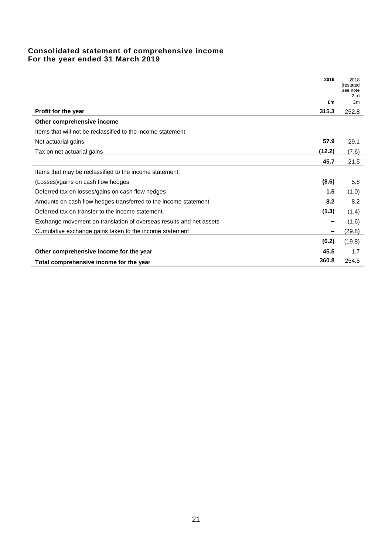## **Consolidated statement of comprehensive income For the year ended 31 March 2019**

|                                                                     | 2019   | 2018<br>(restated<br>see note<br>2a) |
|---------------------------------------------------------------------|--------|--------------------------------------|
|                                                                     | £m     | £m                                   |
| Profit for the year                                                 | 315.3  | 252.8                                |
| Other comprehensive income                                          |        |                                      |
| Items that will not be reclassified to the income statement:        |        |                                      |
| Net actuarial gains                                                 | 57.9   | 29.1                                 |
| Tax on net actuarial gains                                          | (12.2) | (7.6)                                |
|                                                                     | 45.7   | 21.5                                 |
| Items that may be reclassified to the income statement:             |        |                                      |
| (Losses)/gains on cash flow hedges                                  | (8.6)  | 5.8                                  |
| Deferred tax on losses/gains on cash flow hedges                    | 1.5    | (1.0)                                |
| Amounts on cash flow hedges transferred to the income statement     | 8.2    | 8.2                                  |
| Deferred tax on transfer to the income statement                    | (1.3)  | (1.4)                                |
| Exchange movement on translation of overseas results and net assets |        | (1.6)                                |
| Cumulative exchange gains taken to the income statement             | -      | (29.8)                               |
|                                                                     | (0.2)  | (19.8)                               |
| Other comprehensive income for the year                             | 45.5   | 1.7                                  |
| Total comprehensive income for the year                             | 360.8  | 254.5                                |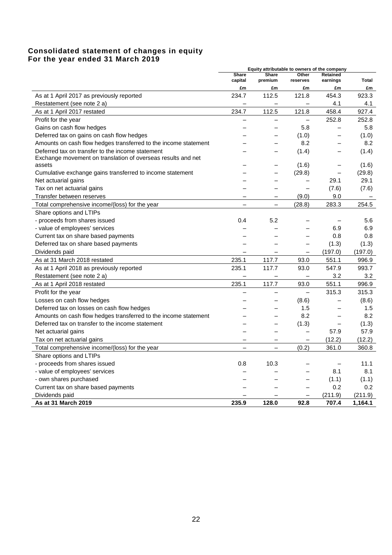## **Consolidated statement of changes in equity For the year ended 31 March 2019**

|                                                                 | Equity attributable to owners of the company |                          |                          |                             |              |
|-----------------------------------------------------------------|----------------------------------------------|--------------------------|--------------------------|-----------------------------|--------------|
|                                                                 | Share<br>capital                             | Share<br>premium         | Other<br>reserves        | <b>Retained</b><br>earnings | <b>Total</b> |
|                                                                 | £m                                           | £m                       | £m                       | £m                          | £m           |
| As at 1 April 2017 as previously reported                       | 234.7                                        | 112.5                    | 121.8                    | 454.3                       | 923.3        |
| Restatement (see note 2 a)                                      |                                              | $\overline{\phantom{0}}$ |                          | 4.1                         | 4.1          |
| As at 1 April 2017 restated                                     | 234.7                                        | 112.5                    | 121.8                    | 458.4                       | 927.4        |
| Profit for the year                                             |                                              | $\overline{\phantom{0}}$ | $\overline{\phantom{0}}$ | 252.8                       | 252.8        |
| Gains on cash flow hedges                                       |                                              | −                        | 5.8                      | $\overline{\phantom{0}}$    | 5.8          |
| Deferred tax on gains on cash flow hedges                       |                                              | −                        | (1.0)                    |                             | (1.0)        |
| Amounts on cash flow hedges transferred to the income statement |                                              | —                        | 8.2                      |                             | 8.2          |
| Deferred tax on transfer to the income statement                |                                              | −                        | (1.4)                    |                             | (1.4)        |
| Exchange movement on translation of overseas results and net    |                                              |                          |                          |                             |              |
| assets                                                          |                                              | -                        | (1.6)                    |                             | (1.6)        |
| Cumulative exchange gains transferred to income statement       |                                              | -                        | (29.8)                   |                             | (29.8)       |
| Net actuarial gains                                             |                                              |                          |                          | 29.1                        | 29.1         |
| Tax on net actuarial gains                                      |                                              |                          |                          | (7.6)                       | (7.6)        |
| Transfer between reserves                                       |                                              | $\overline{\phantom{0}}$ | (9.0)                    | 9.0                         |              |
| Total comprehensive income/(loss) for the year                  | $\overline{\phantom{0}}$                     | $\overline{\phantom{0}}$ | (28.8)                   | 283.3                       | 254.5        |
| Share options and LTIPs                                         |                                              |                          |                          |                             |              |
| - proceeds from shares issued                                   | 0.4                                          | 5.2                      |                          |                             | 5.6          |
| - value of employees' services                                  |                                              | $\overline{\phantom{0}}$ |                          | 6.9                         | 6.9          |
| Current tax on share based payments                             |                                              |                          |                          | 0.8                         | 0.8          |
| Deferred tax on share based payments                            |                                              |                          |                          | (1.3)                       | (1.3)        |
| Dividends paid                                                  |                                              |                          |                          | (197.0)                     | (197.0)      |
| As at 31 March 2018 restated                                    | 235.1                                        | 117.7                    | 93.0                     | 551.1                       | 996.9        |
| As at 1 April 2018 as previously reported                       | 235.1                                        | 117.7                    | 93.0                     | 547.9                       | 993.7        |
| Restatement (see note 2 a)                                      | $\overline{\phantom{0}}$                     |                          | $\overline{\phantom{0}}$ | 3.2                         | 3.2          |
| As at 1 April 2018 restated                                     | 235.1                                        | 117.7                    | 93.0                     | 551.1                       | 996.9        |
| Profit for the year                                             |                                              | Ξ,                       | $\overline{\phantom{0}}$ | 315.3                       | 315.3        |
| Losses on cash flow hedges                                      |                                              |                          | (8.6)                    |                             | (8.6)        |
| Deferred tax on losses on cash flow hedges                      |                                              |                          | 1.5                      |                             | 1.5          |
| Amounts on cash flow hedges transferred to the income statement |                                              |                          | 8.2                      |                             | 8.2          |
| Deferred tax on transfer to the income statement                |                                              | $\overline{\phantom{0}}$ | (1.3)                    | $\overline{\phantom{0}}$    | (1.3)        |
| Net actuarial gains                                             |                                              | −                        | $\overline{\phantom{0}}$ | 57.9                        | 57.9         |
| Tax on net actuarial gains                                      | $\overline{\phantom{0}}$                     | $\overline{\phantom{0}}$ |                          | (12.2)                      | (12.2)       |
| Total comprehensive income/(loss) for the year                  |                                              | $\overline{a}$           | (0.2)                    | 361.0                       | 360.8        |
| Share options and LTIPs                                         |                                              |                          |                          |                             |              |
| - proceeds from shares issued                                   | 0.8                                          | 10.3                     |                          |                             | 11.1         |
| - value of employees' services                                  |                                              |                          |                          | 8.1                         | 8.1          |
| - own shares purchased                                          |                                              |                          |                          | (1.1)                       | (1.1)        |
| Current tax on share based payments                             |                                              | $\overline{\phantom{0}}$ | $\overline{\phantom{0}}$ | 0.2                         | 0.2          |
| Dividends paid                                                  |                                              |                          |                          | (211.9)                     | (211.9)      |
| As at 31 March 2019                                             | 235.9                                        | 128.0                    | 92.8                     | 707.4                       | 1,164.1      |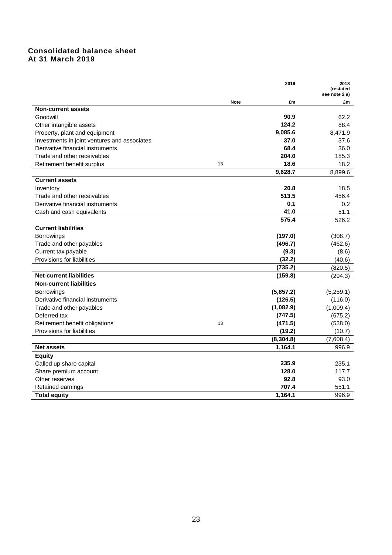## **Consolidated balance sheet At 31 March 2019**

|                                              |             | 2019       | 2018<br>(restated<br>see note 2 a) |
|----------------------------------------------|-------------|------------|------------------------------------|
|                                              | <b>Note</b> | £m         | £m                                 |
| <b>Non-current assets</b>                    |             |            |                                    |
| Goodwill                                     |             | 90.9       | 62.2                               |
| Other intangible assets                      |             | 124.2      | 88.4                               |
| Property, plant and equipment                |             | 9,085.6    | 8,471.9                            |
| Investments in joint ventures and associates |             | 37.0       | 37.6                               |
| Derivative financial instruments             |             | 68.4       | 36.0                               |
| Trade and other receivables                  |             | 204.0      | 185.3                              |
| Retirement benefit surplus                   | 13          | 18.6       | 18.2                               |
|                                              |             | 9,628.7    | 8,899.6                            |
| <b>Current assets</b>                        |             |            |                                    |
| Inventory                                    |             | 20.8       | 18.5                               |
| Trade and other receivables                  |             | 513.5      | 456.4                              |
| Derivative financial instruments             |             | 0.1        | 0.2                                |
| Cash and cash equivalents                    |             | 41.0       | 51.1                               |
|                                              |             | 575.4      | 526.2                              |
| <b>Current liabilities</b>                   |             |            |                                    |
| <b>Borrowings</b>                            |             | (197.0)    | (308.7)                            |
| Trade and other payables                     |             | (496.7)    | (462.6)                            |
| Current tax payable                          |             | (9.3)      | (8.6)                              |
| Provisions for liabilities                   |             | (32.2)     | (40.6)                             |
|                                              |             | (735.2)    | (820.5)                            |
| <b>Net-current liabilities</b>               |             | (159.8)    | (294.3)                            |
| <b>Non-current liabilities</b>               |             |            |                                    |
| <b>Borrowings</b>                            |             | (5,857.2)  | (5,259.1)                          |
| Derivative financial instruments             |             | (126.5)    | (116.0)                            |
| Trade and other payables                     |             | (1,082.9)  | (1,009.4)                          |
| Deferred tax                                 |             | (747.5)    | (675.2)                            |
| Retirement benefit obligations               | 13          | (471.5)    | (538.0)                            |
| Provisions for liabilities                   |             | (19.2)     | (10.7)                             |
|                                              |             | (8, 304.8) | (7,608.4)                          |
| <b>Net assets</b>                            |             | 1,164.1    | 996.9                              |
| Equity                                       |             |            |                                    |
| Called up share capital                      |             | 235.9      | 235.1                              |
| Share premium account                        |             | 128.0      | 117.7                              |
| Other reserves                               |             | 92.8       | 93.0                               |
| Retained earnings                            |             | 707.4      | 551.1                              |
| <b>Total equity</b>                          |             | 1,164.1    | 996.9                              |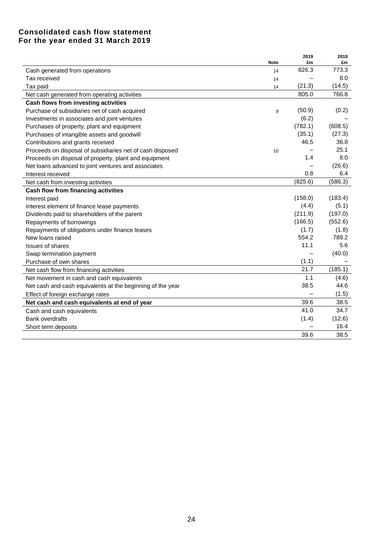## **Consolidated cash flow statement For the year ended 31 March 2019**

|                                                            |             | 2019        | 2018        |
|------------------------------------------------------------|-------------|-------------|-------------|
|                                                            | <b>Note</b> | £m<br>826.3 | £m<br>773.3 |
| Cash generated from operations                             | 14          |             | 8.0         |
| Tax received                                               | 14          | (21.3)      | (14.5)      |
| Tax paid                                                   | 14          | 805.0       | 766.8       |
| Net cash generated from operating activities               |             |             |             |
| Cash flows from investing activities                       |             |             |             |
| Purchase of subsidiaries net of cash acquired              | 9           | (50.9)      | (0.2)       |
| Investments in associates and joint ventures               |             | (6.2)       |             |
| Purchases of property, plant and equipment                 |             | (782.1)     | (608.5)     |
| Purchases of intangible assets and goodwill                |             | (35.1)      | (27.3)      |
| Contributions and grants received                          |             | 46.5        | 36.8        |
| Proceeds on disposal of subsidiaries net of cash disposed  | 10          |             | 25.1        |
| Proceeds on disposal of property, plant and equipment      |             | 1.4         | 8.0         |
| Net loans advanced to joint ventures and associates        |             |             | (26.6)      |
| Interest received                                          |             | 0.8         | 6.4         |
| Net cash from investing activities                         |             | (825.6)     | (586.3)     |
| Cash flow from financing activities                        |             |             |             |
| Interest paid                                              |             | (158.0)     | (183.4)     |
| Interest element of finance lease payments                 |             | (4.4)       | (5.1)       |
| Dividends paid to shareholders of the parent               |             | (211.9)     | (197.0)     |
| Repayments of borrowings                                   |             | (166.5)     | (552.6)     |
| Repayments of obligations under finance leases             |             | (1.7)       | (1.8)       |
| New loans raised                                           |             | 554.2       | 789.2       |
| <b>Issues of shares</b>                                    |             | 11.1        | 5.6         |
| Swap termination payment                                   |             |             | (40.0)      |
| Purchase of own shares                                     |             | (1.1)       |             |
| Net cash flow from financing activities                    |             | 21.7        | (185.1)     |
| Net movement in cash and cash equivalents                  |             | 1.1         | (4.6)       |
| Net cash and cash equivalents at the beginning of the year |             | 38.5        | 44.6        |
| Effect of foreign exchange rates                           |             |             | (1.5)       |
| Net cash and cash equivalents at end of year               |             | 39.6        | 38.5        |
| Cash and cash equivalents                                  |             | 41.0        | 34.7        |
| <b>Bank overdrafts</b>                                     |             | (1.4)       | (12.6)      |
| Short term deposits                                        |             |             | 16.4        |
|                                                            |             | 39.6        | 38.5        |
|                                                            |             |             |             |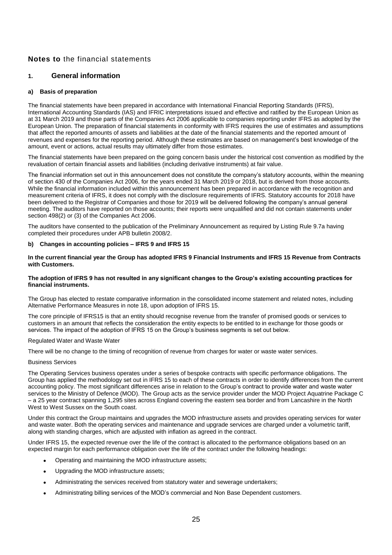## **Notes to** the financial statements

### **1. General information**

#### **a) Basis of preparation**

The financial statements have been prepared in accordance with International Financial Reporting Standards (IFRS), International Accounting Standards (IAS) and IFRIC interpretations issued and effective and ratified by the European Union as at 31 March 2019 and those parts of the Companies Act 2006 applicable to companies reporting under IFRS as adopted by the European Union. The preparation of financial statements in conformity with IFRS requires the use of estimates and assumptions that affect the reported amounts of assets and liabilities at the date of the financial statements and the reported amount of revenues and expenses for the reporting period. Although these estimates are based on management's best knowledge of the amount, event or actions, actual results may ultimately differ from those estimates.

The financial statements have been prepared on the going concern basis under the historical cost convention as modified by the revaluation of certain financial assets and liabilities (including derivative instruments) at fair value.

The financial information set out in this announcement does not constitute the company's statutory accounts, within the meaning of section 430 of the Companies Act 2006, for the years ended 31 March 2019 or 2018, but is derived from those accounts. While the financial information included within this announcement has been prepared in accordance with the recognition and measurement criteria of IFRS, it does not comply with the disclosure requirements of IFRS. Statutory accounts for 2018 have been delivered to the Registrar of Companies and those for 2019 will be delivered following the company's annual general meeting. The auditors have reported on those accounts; their reports were unqualified and did not contain statements under section 498(2) or (3) of the Companies Act 2006.

The auditors have consented to the publication of the Preliminary Announcement as required by Listing Rule 9.7a having completed their procedures under APB bulletin 2008/2.

#### **b) Changes in accounting policies – IFRS 9 and IFRS 15**

#### **In the current financial year the Group has adopted IFRS 9 Financial Instruments and IFRS 15 Revenue from Contracts with Customers.**

#### **The adoption of IFRS 9 has not resulted in any significant changes to the Group's existing accounting practices for financial instruments.**

The Group has elected to restate comparative information in the consolidated income statement and related notes, including Alternative Performance Measures in note 18, upon adoption of IFRS 15.

The core principle of IFRS15 is that an entity should recognise revenue from the transfer of promised goods or services to customers in an amount that reflects the consideration the entity expects to be entitled to in exchange for those goods or services. The impact of the adoption of IFRS 15 on the Group's business segments is set out below.

#### Regulated Water and Waste Water

There will be no change to the timing of recognition of revenue from charges for water or waste water services.

#### Business Services

The Operating Services business operates under a series of bespoke contracts with specific performance obligations. The Group has applied the methodology set out in IFRS 15 to each of these contracts in order to identify differences from the current accounting policy. The most significant differences arise in relation to the Group's contract to provide water and waste water services to the Ministry of Defence (MOD). The Group acts as the service provider under the MOD Project Aquatrine Package C – a 25 year contract spanning 1,295 sites across England covering the eastern sea border and from Lancashire in the North West to West Sussex on the South coast.

Under this contract the Group maintains and upgrades the MOD infrastructure assets and provides operating services for water and waste water. Both the operating services and maintenance and upgrade services are charged under a volumetric tariff, along with standing charges, which are adjusted with inflation as agreed in the contract.

Under IFRS 15, the expected revenue over the life of the contract is allocated to the performance obligations based on an expected margin for each performance obligation over the life of the contract under the following headings:

- Operating and maintaining the MOD infrastructure assets;
- Upgrading the MOD infrastructure assets;
- Administrating the services received from statutory water and sewerage undertakers;
- Administrating billing services of the MOD's commercial and Non Base Dependent customers.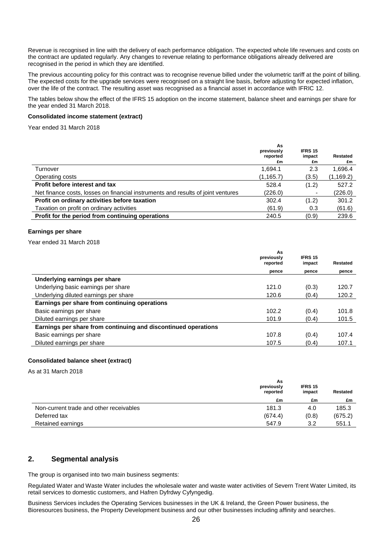Revenue is recognised in line with the delivery of each performance obligation. The expected whole life revenues and costs on the contract are updated regularly. Any changes to revenue relating to performance obligations already delivered are recognised in the period in which they are identified.

The previous accounting policy for this contract was to recognise revenue billed under the volumetric tariff at the point of billing. The expected costs for the upgrade services were recognised on a straight line basis, before adjusting for expected inflation, over the life of the contract. The resulting asset was recognised as a financial asset in accordance with IFRIC 12.

The tables below show the effect of the IFRS 15 adoption on the income statement, balance sheet and earnings per share for the year ended 31 March 2018.

#### **Consolidated income statement (extract)**

Year ended 31 March 2018

|                                                                                  | As<br>previously<br>reported<br>£m | <b>IFRS 15</b><br>impact<br>£m | <b>Restated</b><br>£m |
|----------------------------------------------------------------------------------|------------------------------------|--------------------------------|-----------------------|
| Turnover                                                                         | 1.694.1                            | 2.3                            | 1,696.4               |
| Operating costs                                                                  | (1, 165.7)                         | (3.5)                          | (1,169.2)             |
| Profit before interest and tax                                                   | 528.4                              | (1.2)                          | 527.2                 |
| Net finance costs, losses on financial instruments and results of joint ventures | (226.0)                            |                                | (226.0)               |
| Profit on ordinary activities before taxation                                    | 302.4                              | (1.2)                          | 301.2                 |
| Taxation on profit on ordinary activities                                        | (61.9)                             | 0.3                            | (61.6)                |
| Profit for the period from continuing operations                                 | 240.5                              | (0.9)                          | 239.6                 |

#### **Earnings per share**

#### Year ended 31 March 2018

|                                                                | As<br>previously | <b>IFRS 15</b> |          |
|----------------------------------------------------------------|------------------|----------------|----------|
|                                                                | reported         | impact         | Restated |
|                                                                | pence            | pence          | pence    |
| Underlying earnings per share                                  |                  |                |          |
| Underlying basic earnings per share                            | 121.0            | (0.3)          | 120.7    |
| Underlying diluted earnings per share                          | 120.6            | (0.4)          | 120.2    |
| Earnings per share from continuing operations                  |                  |                |          |
| Basic earnings per share                                       | 102.2            | (0.4)          | 101.8    |
| Diluted earnings per share                                     | 101.9            | (0.4)          | 101.5    |
| Earnings per share from continuing and discontinued operations |                  |                |          |
| Basic earnings per share                                       | 107.8            | (0.4)          | 107.4    |
| Diluted earnings per share                                     | 107.5            | (0.4)          | 107.1    |

#### **Consolidated balance sheet (extract)**

As at 31 March 2018

|                                         | As<br>previously<br>reported | <b>IFRS 15</b><br>impact | Restated |
|-----------------------------------------|------------------------------|--------------------------|----------|
|                                         | £m                           | £m                       | £m       |
| Non-current trade and other receivables | 181.3                        | 4.0                      | 185.3    |
| Deferred tax                            | (674.4)                      | (0.8)                    | (675.2)  |
| Retained earnings                       | 547.9                        | 3.2                      | 551.1    |

## **2. Segmental analysis**

The group is organised into two main business segments:

Regulated Water and Waste Water includes the wholesale water and waste water activities of Severn Trent Water Limited, its retail services to domestic customers, and Hafren Dyfrdwy Cyfyngedig.

Business Services includes the Operating Services businesses in the UK & Ireland, the Green Power business, the Bioresources business, the Property Development business and our other businesses including affinity and searches.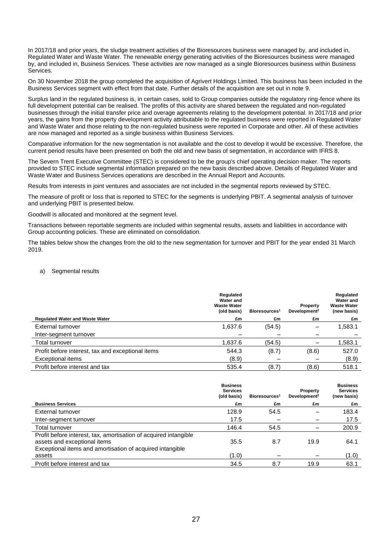In 2017/18 and prior years, the sludge treatment activities of the Bioresources business were managed by, and included in, Regulated Water and Waste Water. The renewable energy generating activities of the Bioresources business were managed by, and included in, Business Services. These activities are now managed as a single Bioresources business within Business Services.

On 30 November 2018 the group completed the acquisition of Agrivert Holdings Limited. This business has been included in the Business Services segment with effect from that date. Further details of the acquisition are set out in note 9.

Surplus land in the regulated business is, in certain cases, sold to Group companies outside the regulatory ring-fence where its full development potential can be realised. The profits of this activity are shared between the regulated and non-regulated businesses through the initial transfer price and overage agreements relating to the development potential. In 2017/18 and prior years, the gains from the property development activity attributable to the regulated business were reported in Regulated Water and Waste Water and those relating to the non-regulated business were reported in Corporate and other. All of these activities are now managed and reported as a single business within Business Services.

Comparative information for the new segmentation is not available and the cost to develop it would be excessive. Therefore, the current period results have been presented on both the old and new basis of segmentation, in accordance with IFRS 8.

The Severn Trent Executive Committee (STEC) is considered to be the group's chief operating decision maker. The reports provided to STEC include segmental information prepared on the new basis described above. Details of Regulated Water and Waste Water and Business Services operations are described in the Annual Report and Accounts.

Results from interests in joint ventures and associates are not included in the segmental reports reviewed by STEC.

The measure of profit or loss that is reported to STEC for the segments is underlying PBIT. A segmental analysis of turnover and underlying PBIT is presented below.

Goodwill is allocated and monitored at the segment level.

Transactions between reportable segments are included within segmental results, assets and liabilities in accordance with Group accounting policies. These are eliminated on consolidation.

The tables below show the changes from the old to the new segmentation for turnover and PBIT for the year ended 31 March 2019.

#### a) Segmental results

|                                                   | Regulated<br>Water and<br><b>Waste Water</b><br>(old basis) | Bioresources <sup>1</sup> | Property<br>Development <sup>2</sup> | Regulated<br>Water and<br><b>Waste Water</b><br>(new basis) |
|---------------------------------------------------|-------------------------------------------------------------|---------------------------|--------------------------------------|-------------------------------------------------------------|
| <b>Regulated Water and Waste Water</b>            | £m                                                          | £m                        | £m                                   | £m                                                          |
| External turnover                                 | 1,637.6                                                     | (54.5)                    |                                      | 1,583.1                                                     |
| Inter-segment turnover                            |                                                             |                           |                                      |                                                             |
| Total turnover                                    | 1,637.6                                                     | (54.5)                    |                                      | 1,583.1                                                     |
| Profit before interest, tax and exceptional items | 544.3                                                       | (8.7)                     | (8.6)                                | 527.0                                                       |
| Exceptional items                                 | (8.9)                                                       |                           |                                      | (8.9)                                                       |
| Profit before interest and tax                    | 535.4                                                       | (8.7)                     | (8.6)                                | 518.1                                                       |

|                                                                                                                                                               | <b>Business</b><br><b>Services</b><br>(old basis) | Bioresources <sup>1</sup> | Property<br>Development <sup>2</sup> | <b>Business</b><br><b>Services</b><br>(new basis) |
|---------------------------------------------------------------------------------------------------------------------------------------------------------------|---------------------------------------------------|---------------------------|--------------------------------------|---------------------------------------------------|
| <b>Business Services</b>                                                                                                                                      | £m                                                | £m                        | £m                                   | £m                                                |
| External turnover                                                                                                                                             | 128.9                                             | 54.5                      |                                      | 183.4                                             |
| Inter-segment turnover                                                                                                                                        | 17.5                                              |                           |                                      | 17.5                                              |
| Total turnover                                                                                                                                                | 146.4                                             | 54.5                      |                                      | 200.9                                             |
| Profit before interest, tax, amortisation of acquired intangible<br>assets and exceptional items<br>Exceptional items and amortisation of acquired intangible | 35.5                                              | 8.7                       | 19.9                                 | 64.1                                              |
| assets                                                                                                                                                        | (1.0)                                             |                           |                                      | (1.0)                                             |
| Profit before interest and tax                                                                                                                                | 34.5                                              | 8.7                       | 19.9                                 | 63.1                                              |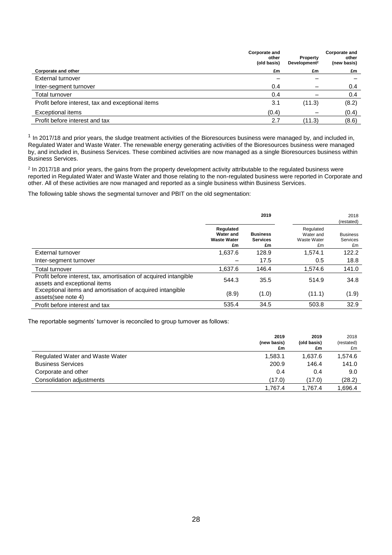|                                                   | <b>Corporate and</b><br>other<br>(old basis) | Property<br>Development <sup>2</sup> | <b>Corporate and</b><br>other<br>(new basis) |
|---------------------------------------------------|----------------------------------------------|--------------------------------------|----------------------------------------------|
| Corporate and other                               | £m                                           | £m                                   | £m                                           |
| External turnover                                 |                                              |                                      |                                              |
| Inter-segment turnover                            | 0.4                                          |                                      | 0.4                                          |
| Total turnover                                    | 0.4                                          |                                      | 0.4                                          |
| Profit before interest, tax and exceptional items | 3.1                                          | (11.3)                               | (8.2)                                        |
| Exceptional items                                 | (0.4)                                        |                                      | (0.4)                                        |
| Profit before interest and tax                    | 2.7                                          | (11.3)                               | (8.6)                                        |

 $1$  In 2017/18 and prior years, the sludge treatment activities of the Bioresources business were managed by, and included in, Regulated Water and Waste Water. The renewable energy generating activities of the Bioresources business were managed by, and included in, Business Services. These combined activities are now managed as a single Bioresources business within Business Services.

<sup>2</sup> In 2017/18 and prior years, the gains from the property development activity attributable to the regulated business were reported in Regulated Water and Waste Water and those relating to the non-regulated business were reported in Corporate and other. All of these activities are now managed and reported as a single business within Business Services.

The following table shows the segmental turnover and PBIT on the old segmentation:

|                                                                                                  |                                                    | 2019                                     |                                             | 2018<br>(restated)                |
|--------------------------------------------------------------------------------------------------|----------------------------------------------------|------------------------------------------|---------------------------------------------|-----------------------------------|
|                                                                                                  | Regulated<br>Water and<br><b>Waste Water</b><br>£m | <b>Business</b><br><b>Services</b><br>£m | Regulated<br>Water and<br>Waste Water<br>£m | <b>Business</b><br>Services<br>£m |
| External turnover                                                                                | 1,637.6                                            | 128.9                                    | 1,574.1                                     | 122.2                             |
| Inter-segment turnover                                                                           |                                                    | 17.5                                     | 0.5                                         | 18.8                              |
| Total turnover                                                                                   | 1,637.6                                            | 146.4                                    | 1,574.6                                     | 141.0                             |
| Profit before interest, tax, amortisation of acquired intangible<br>assets and exceptional items | 544.3                                              | 35.5                                     | 514.9                                       | 34.8                              |
| Exceptional items and amortisation of acquired intangible<br>assets(see note 4)                  | (8.9)                                              | (1.0)                                    | (11.1)                                      | (1.9)                             |
| Profit before interest and tax                                                                   | 535.4                                              | 34.5                                     | 503.8                                       | 32.9                              |

The reportable segments' turnover is reconciled to group turnover as follows:

|                                 | 2019<br>(new basis)<br>£m | 2019<br>(old basis)<br>£m | 2018<br>(restated)<br>£m |
|---------------------------------|---------------------------|---------------------------|--------------------------|
| Regulated Water and Waste Water | 1,583.1                   | 1.637.6                   | 1.574.6                  |
| <b>Business Services</b>        | 200.9                     | 146.4                     | 141.0                    |
| Corporate and other             | 0.4                       | 0.4                       | 9.0                      |
| Consolidation adjustments       | (17.0)                    | (17.0)                    | (28.2)                   |
|                                 | 1.767.4                   | 1.767.4                   | .696.4                   |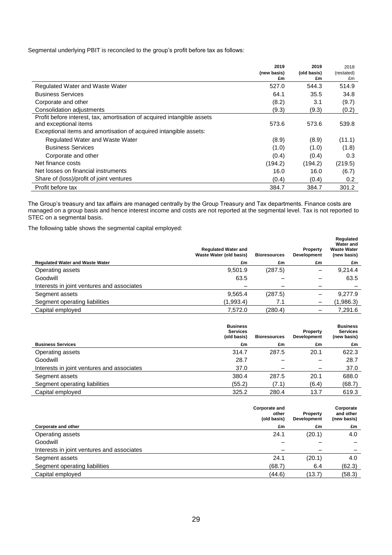Segmental underlying PBIT is reconciled to the group's profit before tax as follows:

|                                                                                                  | 2019<br>(new basis)<br>£m | 2019<br>(old basis)<br>£m | 2018<br>(restated)<br>£m |
|--------------------------------------------------------------------------------------------------|---------------------------|---------------------------|--------------------------|
| Regulated Water and Waste Water                                                                  | 527.0                     | 544.3                     | 514.9                    |
| <b>Business Services</b>                                                                         | 64.1                      | 35.5                      | 34.8                     |
| Corporate and other                                                                              | (8.2)                     | 3.1                       | (9.7)                    |
| Consolidation adjustments                                                                        | (9.3)                     | (9.3)                     | (0.2)                    |
| Profit before interest, tax, amortisation of acquired intangible assets<br>and exceptional items | 573.6                     | 573.6                     | 539.8                    |
| Exceptional items and amortisation of acquired intangible assets:                                |                           |                           |                          |
| Regulated Water and Waste Water                                                                  | (8.9)                     | (8.9)                     | (11.1)                   |
| <b>Business Services</b>                                                                         | (1.0)                     | (1.0)                     | (1.8)                    |
| Corporate and other                                                                              | (0.4)                     | (0.4)                     | 0.3                      |
| Net finance costs                                                                                | (194.2)                   | (194.2)                   | (219.5)                  |
| Net losses on financial instruments                                                              | 16.0                      | 16.0                      | (6.7)                    |
| Share of (loss)/profit of joint ventures                                                         | (0.4)                     | (0.4)                     | 0.2                      |
| Profit before tax                                                                                | 384.7                     | 384.7                     | 301.2                    |

The Group's treasury and tax affairs are managed centrally by the Group Treasury and Tax departments. Finance costs are managed on a group basis and hence interest income and costs are not reported at the segmental level. Tax is not reported to STEC on a segmental basis.

The following table shows the segmental capital employed:

|                                            | <b>Regulated Water and</b><br>Waste Water (old basis) | <b>Bioresources</b> | Property<br>Development | Regulated<br>Water and<br><b>Waste Water</b><br>(new basis) |
|--------------------------------------------|-------------------------------------------------------|---------------------|-------------------------|-------------------------------------------------------------|
| <b>Requlated Water and Waste Water</b>     | £m                                                    | £m                  | £m                      | £m                                                          |
| Operating assets                           | 9,501.9                                               | (287.5)             | —                       | 9.214.4                                                     |
| Goodwill                                   | 63.5                                                  |                     |                         | 63.5                                                        |
| Interests in joint ventures and associates | -                                                     |                     |                         |                                                             |
| Segment assets                             | 9,565.4                                               | (287.5)             |                         | 9.277.9                                                     |
| Segment operating liabilities              | (1,993.4)                                             | 7.1                 | —                       | (1,986.3)                                                   |
| Capital employed                           | 7,572.0                                               | (280.4)             |                         | 7.291.6                                                     |

|                                            | <b>Business</b><br><b>Services</b><br>(old basis) | <b>Bioresources</b> | Property<br>Development | <b>Business</b><br><b>Services</b><br>(new basis) |
|--------------------------------------------|---------------------------------------------------|---------------------|-------------------------|---------------------------------------------------|
| <b>Business Services</b>                   | £m                                                | £m                  | £m                      | £m                                                |
| Operating assets                           | 314.7                                             | 287.5               | 20.1                    | 622.3                                             |
| Goodwill                                   | 28.7                                              |                     |                         | 28.7                                              |
| Interests in joint ventures and associates | 37.0                                              |                     |                         | 37.0                                              |
| Segment assets                             | 380.4                                             | 287.5               | 20.1                    | 688.0                                             |
| Segment operating liabilities              | (55.2)                                            | (7.1)               | (6.4)                   | (68.7)                                            |
| Capital employed                           | 325.2                                             | 280.4               | 13.7                    | 619.3                                             |

|                                            | <b>Corporate and</b><br>other<br>(old basis) | Property<br>Development | Corporate<br>and other<br>(new basis) |
|--------------------------------------------|----------------------------------------------|-------------------------|---------------------------------------|
| Corporate and other                        | £m                                           | £m                      | £m                                    |
| Operating assets                           | 24.1                                         | (20.1)                  | 4.0                                   |
| Goodwill                                   |                                              |                         |                                       |
| Interests in joint ventures and associates |                                              |                         |                                       |
| Segment assets                             | 24.1                                         | (20.1)                  | 4.0                                   |
| Segment operating liabilities              | (68.7)                                       | 6.4                     | (62.3)                                |
| Capital employed                           | (44.6)                                       | (13.7)                  | (58.3)                                |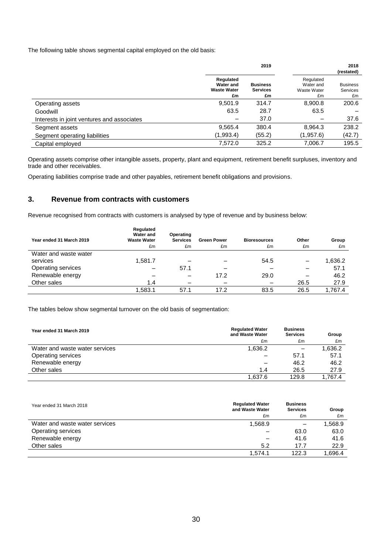The following table shows segmental capital employed on the old basis:

|                                            |                                                    | 2019                                     |                                                    | 2018<br>(restated)                       |
|--------------------------------------------|----------------------------------------------------|------------------------------------------|----------------------------------------------------|------------------------------------------|
|                                            | Regulated<br>Water and<br><b>Waste Water</b><br>£m | <b>Business</b><br><b>Services</b><br>£m | Regulated<br>Water and<br><b>Waste Water</b><br>£m | <b>Business</b><br><b>Services</b><br>£m |
| Operating assets                           | 9,501.9                                            | 314.7                                    | 8,900.8                                            | 200.6                                    |
| Goodwill                                   | 63.5                                               | 28.7                                     | 63.5                                               |                                          |
| Interests in joint ventures and associates |                                                    | 37.0                                     |                                                    | 37.6                                     |
| Segment assets                             | 9,565.4                                            | 380.4                                    | 8,964.3                                            | 238.2                                    |
| Segment operating liabilities              | (1,993.4)                                          | (55.2)                                   | (1,957.6)                                          | (42.7)                                   |
| Capital employed                           | 7,572.0                                            | 325.2                                    | 7,006.7                                            | 195.5                                    |

Operating assets comprise other intangible assets, property, plant and equipment, retirement benefit surpluses, inventory and trade and other receivables.

Operating liabilities comprise trade and other payables, retirement benefit obligations and provisions.

## **3. Revenue from contracts with customers**

Revenue recognised from contracts with customers is analysed by type of revenue and by business below:

| Year ended 31 March 2019 | Regulated<br><b>Water and</b><br><b>Waste Water</b><br>£m | Operating<br><b>Services</b><br>£m | <b>Green Power</b><br>£m | <b>Bioresources</b><br>£m | Other<br>£m | Group<br>£m |
|--------------------------|-----------------------------------------------------------|------------------------------------|--------------------------|---------------------------|-------------|-------------|
| Water and waste water    |                                                           |                                    |                          |                           |             |             |
| services                 | 1.581.7                                                   |                                    |                          | 54.5                      |             | 1,636.2     |
| Operating services       |                                                           | 57.1                               |                          |                           |             | 57.1        |
| Renewable energy         |                                                           | $\overline{\phantom{0}}$           | 17.2                     | 29.0                      |             | 46.2        |
| Other sales              | 1.4                                                       |                                    |                          |                           | 26.5        | 27.9        |
|                          | 1,583.1                                                   | 57.1                               | 17.2                     | 83.5                      | 26.5        | 1.767.4     |
|                          |                                                           |                                    |                          |                           |             |             |

The tables below show segmental turnover on the old basis of segmentation:

| Year ended 31 March 2019       | <b>Regulated Water</b><br>and Waste Water | <b>Business</b><br><b>Services</b> | Group   |
|--------------------------------|-------------------------------------------|------------------------------------|---------|
|                                | £m                                        | £m                                 | £m      |
| Water and waste water services | 1,636.2                                   |                                    | .636.2  |
| Operating services             |                                           | 57.1                               | 57.1    |
| Renewable energy               |                                           | 46.2                               | 46.2    |
| Other sales                    | 1.4                                       | 26.5                               | 27.9    |
|                                | 1.637.6                                   | 129.8                              | 1.767.4 |

| Year ended 31 March 2018       | <b>Regulated Water</b><br>and Waste Water | <b>Business</b><br><b>Services</b> | Group   |
|--------------------------------|-------------------------------------------|------------------------------------|---------|
|                                | £m                                        | £m                                 | £m      |
| Water and waste water services | 1,568.9                                   |                                    | 1,568.9 |
| Operating services             |                                           | 63.0                               | 63.0    |
| Renewable energy               | -                                         | 41.6                               | 41.6    |
| Other sales                    | 5.2                                       | 17.7                               | 22.9    |
|                                | 1.574.1                                   | 122.3                              | .696.4  |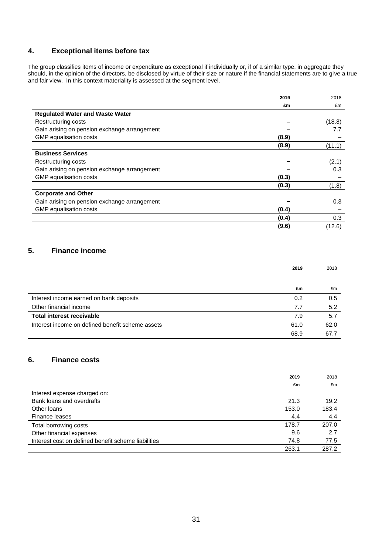## **4. Exceptional items before tax**

The group classifies items of income or expenditure as exceptional if individually or, if of a similar type, in aggregate they should, in the opinion of the directors, be disclosed by virtue of their size or nature if the financial statements are to give a true and fair view. In this context materiality is assessed at the segment level.

|                                              | 2019  | 2018   |
|----------------------------------------------|-------|--------|
|                                              | £m    | £m     |
| <b>Regulated Water and Waste Water</b>       |       |        |
| Restructuring costs                          |       | (18.8) |
| Gain arising on pension exchange arrangement |       | 7.7    |
| GMP equalisation costs                       | (8.9) |        |
|                                              | (8.9) | (11.1) |
| <b>Business Services</b>                     |       |        |
| Restructuring costs                          |       | (2.1)  |
| Gain arising on pension exchange arrangement |       | 0.3    |
| GMP equalisation costs                       | (0.3) |        |
|                                              | (0.3) | (1.8)  |
| <b>Corporate and Other</b>                   |       |        |
| Gain arising on pension exchange arrangement |       | 0.3    |
| GMP equalisation costs                       | (0.4) |        |
|                                              | (0.4) | 0.3    |
|                                              | (9.6) | (12.6) |

## **5. Finance income**

|                                                  | 2019 | 2018 |
|--------------------------------------------------|------|------|
|                                                  |      |      |
|                                                  | £m   | £m   |
| Interest income earned on bank deposits          | 0.2  | 0.5  |
| Other financial income                           | 7.7  | 5.2  |
| <b>Total interest receivable</b>                 | 7.9  | 5.7  |
| Interest income on defined benefit scheme assets | 61.0 | 62.0 |
|                                                  | 68.9 | 67.7 |

## **6. Finance costs**

|                                                     | 2019  | 2018  |
|-----------------------------------------------------|-------|-------|
|                                                     | £m    | £m    |
| Interest expense charged on:                        |       |       |
| Bank loans and overdrafts                           | 21.3  | 19.2  |
| Other loans                                         | 153.0 | 183.4 |
| Finance leases                                      | 4.4   | 4.4   |
| Total borrowing costs                               | 178.7 | 207.0 |
| Other financial expenses                            | 9.6   | 2.7   |
| Interest cost on defined benefit scheme liabilities | 74.8  | 77.5  |
|                                                     | 263.1 | 287.2 |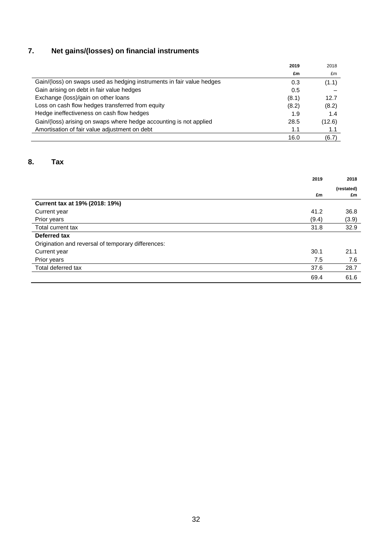# **7. Net gains/(losses) on financial instruments**

|                                                                       | 2019  | 2018   |
|-----------------------------------------------------------------------|-------|--------|
|                                                                       | £m    | £m     |
| Gain/(loss) on swaps used as hedging instruments in fair value hedges | 0.3   | (1.1)  |
| Gain arising on debt in fair value hedges                             | 0.5   |        |
| Exchange (loss)/gain on other loans                                   | (8.1) | 12.7   |
| Loss on cash flow hedges transferred from equity                      | (8.2) | (8.2)  |
| Hedge ineffectiveness on cash flow hedges                             | 1.9   | 1.4    |
| Gain/(loss) arising on swaps where hedge accounting is not applied    | 28.5  | (12.6) |
| Amortisation of fair value adjustment on debt                         | 1.1   |        |
|                                                                       | 16.0  | (6.7)  |
|                                                                       |       |        |

## **8. Tax**

|                                                    | 2019  | 2018       |
|----------------------------------------------------|-------|------------|
|                                                    |       | (restated) |
|                                                    | £m    | £m         |
| Current tax at 19% (2018: 19%)                     |       |            |
| Current year                                       | 41.2  | 36.8       |
| Prior years                                        | (9.4) | (3.9)      |
| Total current tax                                  | 31.8  | 32.9       |
| Deferred tax                                       |       |            |
| Origination and reversal of temporary differences: |       |            |
| Current year                                       | 30.1  | 21.1       |
| Prior years                                        | 7.5   | 7.6        |
| Total deferred tax                                 | 37.6  | 28.7       |
|                                                    | 69.4  | 61.6       |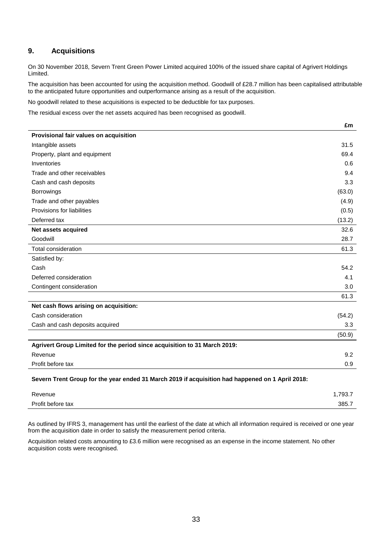## **9. Acquisitions**

On 30 November 2018, Severn Trent Green Power Limited acquired 100% of the issued share capital of Agrivert Holdings Limited.

The acquisition has been accounted for using the acquisition method. Goodwill of £28.7 million has been capitalised attributable to the anticipated future opportunities and outperformance arising as a result of the acquisition.

No goodwill related to these acquisitions is expected to be deductible for tax purposes.

The residual excess over the net assets acquired has been recognised as goodwill.

|                                                                                                        | £m               |
|--------------------------------------------------------------------------------------------------------|------------------|
| Provisional fair values on acquisition                                                                 |                  |
| Intangible assets                                                                                      | 31.5             |
| Property, plant and equipment                                                                          | 69.4             |
| Inventories                                                                                            | 0.6              |
| Trade and other receivables                                                                            | 9.4              |
| Cash and cash deposits                                                                                 | 3.3              |
| Borrowings                                                                                             | (63.0)           |
| Trade and other payables                                                                               | (4.9)            |
| Provisions for liabilities                                                                             | (0.5)            |
| Deferred tax                                                                                           | (13.2)           |
| Net assets acquired                                                                                    | 32.6             |
| Goodwill                                                                                               | 28.7             |
| <b>Total consideration</b>                                                                             | 61.3             |
| Satisfied by:                                                                                          |                  |
| Cash                                                                                                   | 54.2             |
| Deferred consideration                                                                                 | 4.1              |
| Contingent consideration                                                                               | 3.0              |
|                                                                                                        | 61.3             |
| Net cash flows arising on acquisition:                                                                 |                  |
| Cash consideration                                                                                     | (54.2)           |
| Cash and cash deposits acquired                                                                        | 3.3 <sub>2</sub> |
|                                                                                                        | (50.9)           |
| Agrivert Group Limited for the period since acquisition to 31 March 2019:                              |                  |
| Revenue                                                                                                | 9.2              |
| Profit before tax                                                                                      | 0.9              |
| <u>Covern Trant Croup for the vear anded 21 March 2010 if acquisition had happened on 1 April 2019</u> |                  |

#### **Severn Trent Group for the year ended 31 March 2019 if acquisition had happened on 1 April 2018:**

| Revenue           | 793.7, |
|-------------------|--------|
| Profit before tax | 385.7  |

As outlined by IFRS 3, management has until the earliest of the date at which all information required is received or one year from the acquisition date in order to satisfy the measurement period criteria.

Acquisition related costs amounting to £3.6 million were recognised as an expense in the income statement. No other acquisition costs were recognised.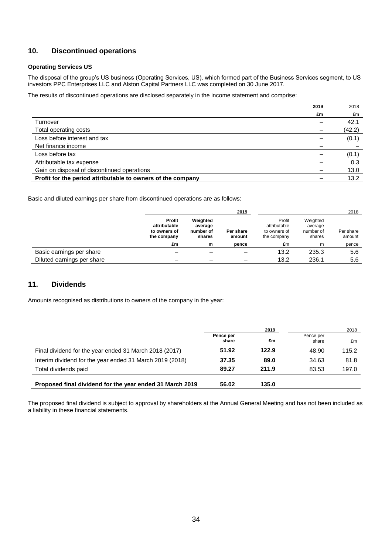## **10. Discontinued operations**

### **Operating Services US**

The disposal of the group's US business (Operating Services, US), which formed part of the Business Services segment, to US investors PPC Enterprises LLC and Alston Capital Partners LLC was completed on 30 June 2017.

The results of discontinued operations are disclosed separately in the income statement and comprise:

|                                                             | 2019 | 2018   |
|-------------------------------------------------------------|------|--------|
|                                                             | £m   | £m     |
| Turnover                                                    |      | 42.1   |
| Total operating costs                                       |      | (42.2) |
| Loss before interest and tax                                |      | (0.1)  |
| Net finance income                                          |      |        |
| Loss before tax                                             |      | (0.1)  |
| Attributable tax expense                                    |      | 0.3    |
| Gain on disposal of discontinued operations                 |      | 13.0   |
| Profit for the period attributable to owners of the company |      | 13.2   |

Basic and diluted earnings per share from discontinued operations are as follows:

|                            |                                                       |                                            | 2019                     |                                                       |                                            | 2018                |
|----------------------------|-------------------------------------------------------|--------------------------------------------|--------------------------|-------------------------------------------------------|--------------------------------------------|---------------------|
|                            | Profit<br>attributable<br>to owners of<br>the company | Weighted<br>average<br>number of<br>shares | Per share<br>amount      | Profit<br>attributable<br>to owners of<br>the company | Weighted<br>average<br>number of<br>shares | Per share<br>amount |
|                            | £m                                                    | m                                          | pence                    | £m                                                    | m                                          | pence               |
| Basic earnings per share   |                                                       |                                            | $\overline{\phantom{0}}$ | 13.2                                                  | 235.3                                      | 5.6                 |
| Diluted earnings per share |                                                       | -                                          | -                        | 13.2                                                  | 236.1                                      | 5.6                 |

## **11. Dividends**

Amounts recognised as distributions to owners of the company in the year:

|                                                          | 2019               |       |                    | 2018  |
|----------------------------------------------------------|--------------------|-------|--------------------|-------|
|                                                          | Pence per<br>share | £m    | Pence per<br>share | £m    |
| Final dividend for the year ended 31 March 2018 (2017)   | 51.92              | 122.9 | 48.90              | 115.2 |
| Interim dividend for the year ended 31 March 2019 (2018) | 37.35              | 89.0  | 34.63              | 81.8  |
| Total dividends paid                                     | 89.27              | 211.9 | 83.53              | 197.0 |
| Proposed final dividend for the year ended 31 March 2019 | 56.02              | 135.0 |                    |       |

The proposed final dividend is subject to approval by shareholders at the Annual General Meeting and has not been included as a liability in these financial statements.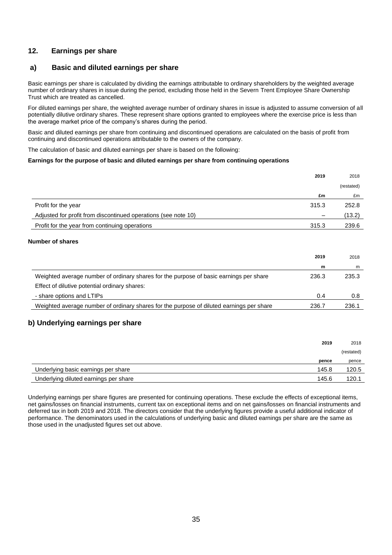## **12. Earnings per share**

### **a) Basic and diluted earnings per share**

Basic earnings per share is calculated by dividing the earnings attributable to ordinary shareholders by the weighted average number of ordinary shares in issue during the period, excluding those held in the Severn Trent Employee Share Ownership Trust which are treated as cancelled.

For diluted earnings per share, the weighted average number of ordinary shares in issue is adjusted to assume conversion of all potentially dilutive ordinary shares. These represent share options granted to employees where the exercise price is less than the average market price of the company's shares during the period.

Basic and diluted earnings per share from continuing and discontinued operations are calculated on the basis of profit from continuing and discontinued operations attributable to the owners of the company.

The calculation of basic and diluted earnings per share is based on the following:

#### **Earnings for the purpose of basic and diluted earnings per share from continuing operations**

| 2019                                                           | 2018       |
|----------------------------------------------------------------|------------|
|                                                                | (restated) |
| £m                                                             | £m         |
| 315.3<br>Profit for the year                                   | 252.8      |
| Adjusted for profit from discontinued operations (see note 10) | (13.2)     |
| Profit for the year from continuing operations<br>315.3        | 239.6      |

### **Number of shares**

|                                                                                          | 2019  | 2018  |
|------------------------------------------------------------------------------------------|-------|-------|
|                                                                                          | m     | m     |
| Weighted average number of ordinary shares for the purpose of basic earnings per share   | 236.3 | 235.3 |
| Effect of dilutive potential ordinary shares:                                            |       |       |
| - share options and LTIPs                                                                | 0.4   | 0.8   |
| Weighted average number of ordinary shares for the purpose of diluted earnings per share | 236.7 | 236.1 |

### **b) Underlying earnings per share**

|                                       | 2019  | 2018       |
|---------------------------------------|-------|------------|
|                                       |       | (restated) |
|                                       | pence | pence      |
| Underlying basic earnings per share   | 145.8 | 120.5      |
| Underlying diluted earnings per share | 145.6 | 120.1      |

Underlying earnings per share figures are presented for continuing operations. These exclude the effects of exceptional items, net gains/losses on financial instruments, current tax on exceptional items and on net gains/losses on financial instruments and deferred tax in both 2019 and 2018. The directors consider that the underlying figures provide a useful additional indicator of performance. The denominators used in the calculations of underlying basic and diluted earnings per share are the same as those used in the unadjusted figures set out above.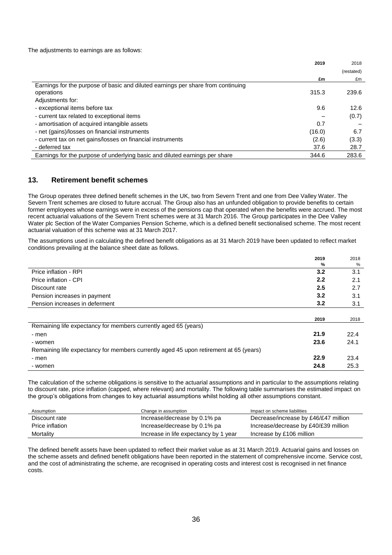The adjustments to earnings are as follows:

|                                                                                  | 2019   | 2018       |
|----------------------------------------------------------------------------------|--------|------------|
|                                                                                  |        | (restated) |
|                                                                                  | £m     | £m         |
| Earnings for the purpose of basic and diluted earnings per share from continuing |        |            |
| operations                                                                       | 315.3  | 239.6      |
| Adjustments for:                                                                 |        |            |
| - exceptional items before tax                                                   | 9.6    | 12.6       |
| - current tax related to exceptional items                                       |        | (0.7)      |
| - amortisation of acquired intangible assets                                     | 0.7    |            |
| - net (gains)/losses on financial instruments                                    | (16.0) | 6.7        |
| - current tax on net gains/losses on financial instruments                       | (2.6)  | (3.3)      |
| - deferred tax                                                                   | 37.6   | 28.7       |
| Earnings for the purpose of underlying basic and diluted earnings per share      | 344.6  | 283.6      |

### **13. Retirement benefit schemes**

The Group operates three defined benefit schemes in the UK, two from Severn Trent and one from Dee Valley Water. The Severn Trent schemes are closed to future accrual. The Group also has an unfunded obligation to provide benefits to certain former employees whose earnings were in excess of the pensions cap that operated when the benefits were accrued. The most recent actuarial valuations of the Severn Trent schemes were at 31 March 2016. The Group participates in the Dee Valley Water plc Section of the Water Companies Pension Scheme, which is a defined benefit sectionalised scheme. The most recent actuarial valuation of this scheme was at 31 March 2017.

The assumptions used in calculating the defined benefit obligations as at 31 March 2019 have been updated to reflect market conditions prevailing at the balance sheet date as follows.

|                                                                                       | 2019 | 2018 |
|---------------------------------------------------------------------------------------|------|------|
|                                                                                       | %    | %    |
| Price inflation - RPI                                                                 | 3.2  | 3.1  |
| Price inflation - CPI                                                                 | 2.2  | 2.1  |
| Discount rate                                                                         | 2.5  | 2.7  |
| Pension increases in payment                                                          | 3.2  | 3.1  |
| Pension increases in deferment                                                        | 3.2  | 3.1  |
|                                                                                       |      |      |
|                                                                                       | 2019 | 2018 |
| Remaining life expectancy for members currently aged 65 (years)                       |      |      |
| - men                                                                                 | 21.9 | 22.4 |
| - women                                                                               | 23.6 | 24.1 |
| Remaining life expectancy for members currently aged 45 upon retirement at 65 (years) |      |      |
| - men                                                                                 | 22.9 | 23.4 |
| - women                                                                               | 24.8 | 25.3 |

The calculation of the scheme obligations is sensitive to the actuarial assumptions and in particular to the assumptions relating to discount rate, price inflation (capped, where relevant) and mortality. The following table summarises the estimated impact on the group's obligations from changes to key actuarial assumptions whilst holding all other assumptions constant.

| Assumption      | Change in assumption                  | Impact on scheme liabilities         |
|-----------------|---------------------------------------|--------------------------------------|
| Discount rate   | Increase/decrease by 0.1% pa          | Decrease/increase by £46/£47 million |
| Price inflation | Increase/decrease by 0.1% pa          | Increase/decrease by £40/£39 million |
| Mortality       | Increase in life expectancy by 1 year | Increase by £106 million             |

The defined benefit assets have been updated to reflect their market value as at 31 March 2019. Actuarial gains and losses on the scheme assets and defined benefit obligations have been reported in the statement of comprehensive income. Service cost, and the cost of administrating the scheme, are recognised in operating costs and interest cost is recognised in net finance costs.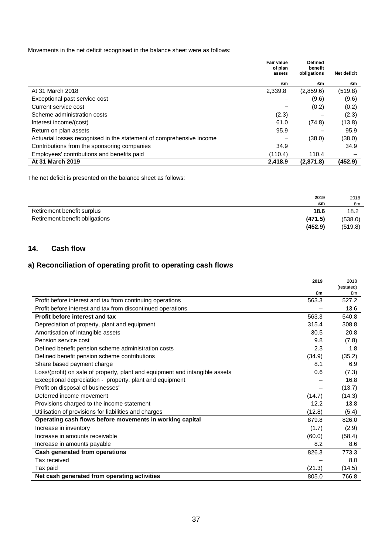Movements in the net deficit recognised in the balance sheet were as follows:

|                                                                      | <b>Fair value</b><br>of plan | <b>Defined</b><br>benefit |             |
|----------------------------------------------------------------------|------------------------------|---------------------------|-------------|
|                                                                      | assets                       | obligations               | Net deficit |
|                                                                      | £m                           | £m                        | £m          |
| At 31 March 2018                                                     | 2,339.8                      | (2,859.6)                 | (519.8)     |
| Exceptional past service cost                                        |                              | (9.6)                     | (9.6)       |
| Current service cost                                                 |                              | (0.2)                     | (0.2)       |
| Scheme administration costs                                          | (2.3)                        |                           | (2.3)       |
| Interest income/(cost)                                               | 61.0                         | (74.8)                    | (13.8)      |
| Return on plan assets                                                | 95.9                         |                           | 95.9        |
| Actuarial losses recognised in the statement of comprehensive income |                              | (38.0)                    | (38.0)      |
| Contributions from the sponsoring companies                          | 34.9                         |                           | 34.9        |
| Employees' contributions and benefits paid                           | (110.4)                      | 110.4                     |             |
| At 31 March 2019                                                     | 2.418.9                      | (2.871.8)                 | (452.9)     |

The net deficit is presented on the balance sheet as follows:

|                                | 2019<br>£m | 2018<br>£m |
|--------------------------------|------------|------------|
| Retirement benefit surplus     | 18.6       | 18.2       |
| Retirement benefit obligations | (471.5)    | (538.0)    |
|                                | (452.9)    | (519.8)    |

## **14. Cash flow**

## **a) Reconciliation of operating profit to operating cash flows**

|                                                                              | 2019   | 2018             |
|------------------------------------------------------------------------------|--------|------------------|
|                                                                              | £m     | (restated)<br>£m |
| Profit before interest and tax from continuing operations                    | 563.3  | 527.2            |
| Profit before interest and tax from discontinued operations                  |        | 13.6             |
| Profit before interest and tax                                               | 563.3  | 540.8            |
| Depreciation of property, plant and equipment                                | 315.4  | 308.8            |
| Amortisation of intangible assets                                            | 30.5   | 20.8             |
| Pension service cost                                                         | 9.8    | (7.8)            |
| Defined benefit pension scheme administration costs                          | 2.3    | 1.8              |
| Defined benefit pension scheme contributions                                 | (34.9) | (35.2)           |
| Share based payment charge                                                   | 8.1    | 6.9              |
| Loss/(profit) on sale of property, plant and equipment and intangible assets | 0.6    | (7.3)            |
| Exceptional depreciation - property, plant and equipment                     |        | 16.8             |
| Profit on disposal of businesses"                                            |        | (13.7)           |
| Deferred income movement                                                     | (14.7) | (14.3)           |
| Provisions charged to the income statement                                   | 12.2   | 13.8             |
| Utilisation of provisions for liabilities and charges                        | (12.8) | (5.4)            |
| Operating cash flows before movements in working capital                     | 879.8  | 826.0            |
| Increase in inventory                                                        | (1.7)  | (2.9)            |
| Increase in amounts receivable                                               | (60.0) | (58.4)           |
| Increase in amounts payable                                                  | 8.2    | 8.6              |
| Cash generated from operations                                               | 826.3  | 773.3            |
| Tax received                                                                 |        | 8.0              |
| Tax paid                                                                     | (21.3) | (14.5)           |
| Net cash generated from operating activities                                 | 805.0  | 766.8            |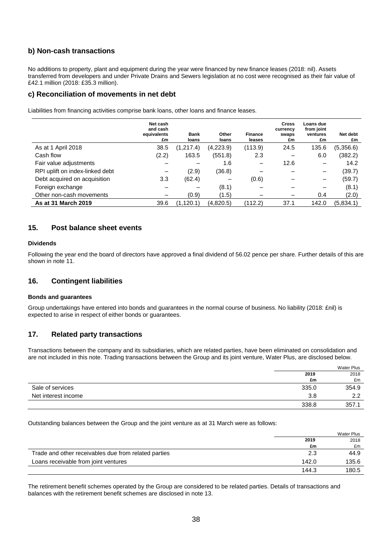## **b) Non-cash transactions**

No additions to property, plant and equipment during the year were financed by new finance leases (2018: nil). Assets transferred from developers and under Private Drains and Sewers legislation at no cost were recognised as their fair value of £42.1 million (2018: £35.3 million).

### **c) Reconciliation of movements in net debt**

Liabilities from financing activities comprise bank loans, other loans and finance leases.

|                                 | Net cash<br>and cash<br>equivalents<br>£m | <b>Bank</b><br>loans | Other<br>loans | <b>Finance</b><br>leases | <b>Cross</b><br>currency<br>swaps<br>£m | Loans due<br>from joint<br>ventures<br>£m | Net debt<br>£m |
|---------------------------------|-------------------------------------------|----------------------|----------------|--------------------------|-----------------------------------------|-------------------------------------------|----------------|
| As at 1 April 2018              | 38.5                                      | (1, 217.4)           | (4,223.9)      | (113.9)                  | 24.5                                    | 135.6                                     | (5,356.6)      |
| Cash flow                       | (2.2)                                     | 163.5                | (551.8)        | 2.3                      |                                         | 6.0                                       | (382.2)        |
| Fair value adjustments          |                                           |                      | 1.6            | -                        | 12.6                                    |                                           | 14.2           |
| RPI uplift on index-linked debt |                                           | (2.9)                | (36.8)         |                          |                                         | -                                         | (39.7)         |
| Debt acquired on acquisition    | 3.3                                       | (62.4)               |                | (0.6)                    |                                         | -                                         | (59.7)         |
| Foreign exchange                |                                           |                      | (8.1)          |                          |                                         | -                                         | (8.1)          |
| Other non-cash movements        |                                           | (0.9)                | (1.5)          |                          |                                         | 0.4                                       | (2.0)          |
| As at 31 March 2019             | 39.6                                      | (1, 120.1)           | (4,820.5)      | (112.2)                  | 37.1                                    | 142.0                                     | (5,834.1)      |

## **15. Post balance sheet events**

### **Dividends**

Following the year end the board of directors have approved a final dividend of 56.02 pence per share. Further details of this are shown in note 11.

### **16. Contingent liabilities**

### **Bonds and guarantees**

Group undertakings have entered into bonds and guarantees in the normal course of business. No liability (2018: £nil) is expected to arise in respect of either bonds or guarantees.

### **17. Related party transactions**

Transactions between the company and its subsidiaries, which are related parties, have been eliminated on consolidation and are not included in this note. Trading transactions between the Group and its joint venture, Water Plus, are disclosed below.

|                     |       | <b>Water Plus</b> |
|---------------------|-------|-------------------|
|                     | 2019  | 2018              |
|                     | £m    | £m                |
| Sale of services    | 335.0 | 354.9             |
| Net interest income | 3.8   | 2.2               |
|                     | 338.8 | 357.1             |

Outstanding balances between the Group and the joint venture as at 31 March were as follows:

|                                                      |       | <b>Water Plus</b> |
|------------------------------------------------------|-------|-------------------|
|                                                      | 2019  | 2018              |
|                                                      | £m    | £m                |
| Trade and other receivables due from related parties | 2.3   | 44.9              |
| Loans receivable from joint ventures                 | 142.0 | 135.6             |
|                                                      | 144.3 | 180.5             |

The retirement benefit schemes operated by the Group are considered to be related parties. Details of transactions and balances with the retirement benefit schemes are disclosed in note 13.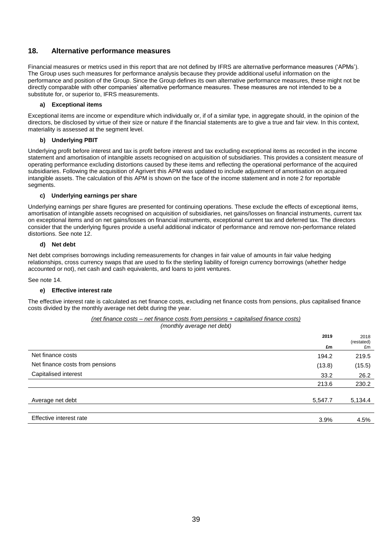### **18. Alternative performance measures**

Financial measures or metrics used in this report that are not defined by IFRS are alternative performance measures ('APMs'). The Group uses such measures for performance analysis because they provide additional useful information on the performance and position of the Group. Since the Group defines its own alternative performance measures, these might not be directly comparable with other companies' alternative performance measures. These measures are not intended to be a substitute for, or superior to, IFRS measurements.

### **a) Exceptional items**

Exceptional items are income or expenditure which individually or, if of a similar type, in aggregate should, in the opinion of the directors, be disclosed by virtue of their size or nature if the financial statements are to give a true and fair view. In this context, materiality is assessed at the segment level.

### **b) Underlying PBIT**

Underlying profit before interest and tax is profit before interest and tax excluding exceptional items as recorded in the income statement and amortisation of intangible assets recognised on acquisition of subsidiaries. This provides a consistent measure of operating performance excluding distortions caused by these items and reflecting the operational performance of the acquired subsidiaries. Following the acquisition of Agrivert this APM was updated to include adjustment of amortisation on acquired intangible assets. The calculation of this APM is shown on the face of the income statement and in note 2 for reportable segments.

#### **c) Underlying earnings per share**

Underlying earnings per share figures are presented for continuing operations. These exclude the effects of exceptional items, amortisation of intangible assets recognised on acquisition of subsidiaries, net gains/losses on financial instruments, current tax on exceptional items and on net gains/losses on financial instruments, exceptional current tax and deferred tax. The directors consider that the underlying figures provide a useful additional indicator of performance and remove non-performance related distortions. See note 12.

#### **d) Net debt**

Net debt comprises borrowings including remeasurements for changes in fair value of amounts in fair value hedging relationships, cross currency swaps that are used to fix the sterling liability of foreign currency borrowings (whether hedge accounted or not), net cash and cash equivalents, and loans to joint ventures.

See note 14.

### **e) Effective interest rate**

The effective interest rate is calculated as net finance costs, excluding net finance costs from pensions, plus capitalised finance costs divided by the monthly average net debt during the year.

| (net finance costs – net finance costs from pensions + capitalised finance costs) |                            |  |  |
|-----------------------------------------------------------------------------------|----------------------------|--|--|
|                                                                                   | (monthly average net debt) |  |  |

|                                 | 2019    | 2018<br>(restated) |
|---------------------------------|---------|--------------------|
|                                 | £m      | £m                 |
| Net finance costs               | 194.2   | 219.5              |
| Net finance costs from pensions | (13.8)  | (15.5)             |
| Capitalised interest            | 33.2    | 26.2               |
|                                 | 213.6   | 230.2              |
|                                 |         |                    |
| Average net debt                | 5,547.7 | 5,134.4            |
|                                 |         |                    |
| Effective interest rate         | 3.9%    | 4.5%               |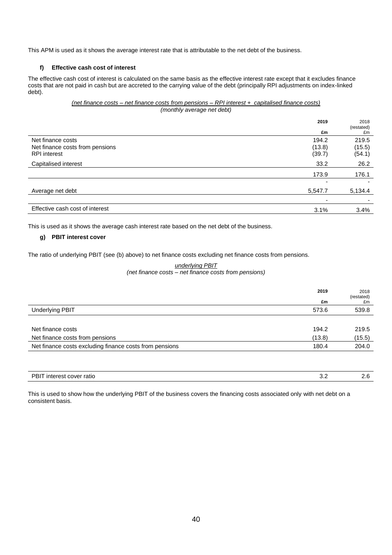This APM is used as it shows the average interest rate that is attributable to the net debt of the business.

### **f) Effective cash cost of interest**

The effective cash cost of interest is calculated on the same basis as the effective interest rate except that it excludes finance costs that are not paid in cash but are accreted to the carrying value of the debt (principally RPI adjustments on index-linked debt).

### *(net finance costs – net finance costs from pensions – RPI interest + capitalised finance costs) (monthly average net debt)*

|                                                                             | 2019<br>£m                | 2018<br>(restated)<br>£m  |
|-----------------------------------------------------------------------------|---------------------------|---------------------------|
| Net finance costs<br>Net finance costs from pensions<br><b>RPI</b> interest | 194.2<br>(13.8)<br>(39.7) | 219.5<br>(15.5)<br>(54.1) |
| Capitalised interest                                                        | 33.2                      | 26.2                      |
|                                                                             | 173.9                     | 176.1                     |
|                                                                             |                           |                           |
| Average net debt                                                            | 5,547.7                   | 5,134.4                   |
|                                                                             | -                         |                           |
| Effective cash cost of interest                                             | 3.1%                      | 3.4%                      |

This is used as it shows the average cash interest rate based on the net debt of the business.

### **g) PBIT interest cover**

The ratio of underlying PBIT (see (b) above) to net finance costs excluding net finance costs from pensions.

### *underlying PBIT*

*(net finance costs – net finance costs from pensions)*

|                                                         | 2019<br>£m | 2018<br>(restated)<br>£m |
|---------------------------------------------------------|------------|--------------------------|
| <b>Underlying PBIT</b>                                  | 573.6      | 539.8                    |
|                                                         |            |                          |
| Net finance costs                                       | 194.2      | 219.5                    |
| Net finance costs from pensions                         | (13.8)     | (15.5)                   |
| Net finance costs excluding finance costs from pensions | 180.4      | 204.0                    |

| PBI.<br>ratio<br>cover<br>،nɪɾ<br>alest<br>$\mathsf{v}.\mathsf{v}$ |
|--------------------------------------------------------------------|
|--------------------------------------------------------------------|

This is used to show how the underlying PBIT of the business covers the financing costs associated only with net debt on a consistent basis.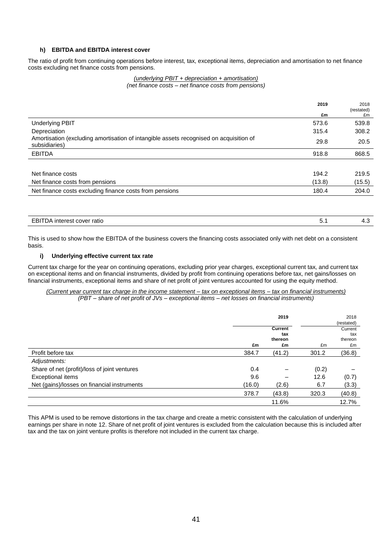### **h) EBITDA and EBITDA interest cover**

The ratio of profit from continuing operations before interest, tax, exceptional items, depreciation and amortisation to net finance costs excluding net finance costs from pensions.

#### *(underlying PBIT + depreciation + amortisation) (net finance costs – net finance costs from pensions)*

|                                                                                                         | 2019   | 2018<br>(restated) |
|---------------------------------------------------------------------------------------------------------|--------|--------------------|
|                                                                                                         | £m     | £m                 |
| <b>Underlying PBIT</b>                                                                                  | 573.6  | 539.8              |
| Depreciation                                                                                            | 315.4  | 308.2              |
| Amortisation (excluding amortisation of intangible assets recognised on acquisition of<br>subsidiaries) | 29.8   | 20.5               |
| <b>EBITDA</b>                                                                                           | 918.8  | 868.5              |
|                                                                                                         |        |                    |
| Net finance costs                                                                                       | 194.2  | 219.5              |
| Net finance costs from pensions                                                                         | (13.8) | (15.5)             |
| Net finance costs excluding finance costs from pensions                                                 | 180.4  | 204.0              |
|                                                                                                         |        |                    |

| ---<br>t cover ratio<br>. interest<br>⊬ر،<br>≃в∟<br>. | $\mathsf{v}$ . $\mathsf{r}$ | ۰. ن<br> |
|-------------------------------------------------------|-----------------------------|----------|

This is used to show how the EBITDA of the business covers the financing costs associated only with net debt on a consistent basis.

### **i) Underlying effective current tax rate**

Current tax charge for the year on continuing operations, excluding prior year charges, exceptional current tax, and current tax on exceptional items and on financial instruments, divided by profit from continuing operations before tax, net gains/losses on financial instruments, exceptional items and share of net profit of joint ventures accounted for using the equity method.

*(Current year current tax charge in the income statement – tax on exceptional items – tax on financial instruments) (PBT – share of net profit of JVs – exceptional items – net losses on financial instruments)*

|                                              |        | 2019                            |       | 2018                                          |
|----------------------------------------------|--------|---------------------------------|-------|-----------------------------------------------|
|                                              | £m     | Current<br>tax<br>thereon<br>£m | £m    | (restated)<br>Current<br>tax<br>thereon<br>£m |
| Profit before tax                            | 384.7  | (41.2)                          | 301.2 | (36.8)                                        |
| Adjustments:                                 |        |                                 |       |                                               |
| Share of net (profit)/loss of joint ventures | 0.4    |                                 | (0.2) |                                               |
| Exceptional items                            | 9.6    |                                 | 12.6  | (0.7)                                         |
| Net (gains)/losses on financial instruments  | (16.0) | (2.6)                           | 6.7   | (3.3)                                         |
|                                              | 378.7  | (43.8)                          | 320.3 | (40.8)                                        |
|                                              |        | 11.6%                           |       | 12.7%                                         |

This APM is used to be remove distortions in the tax charge and create a metric consistent with the calculation of underlying earnings per share in note 12. Share of net profit of joint ventures is excluded from the calculation because this is included after tax and the tax on joint venture profits is therefore not included in the current tax charge.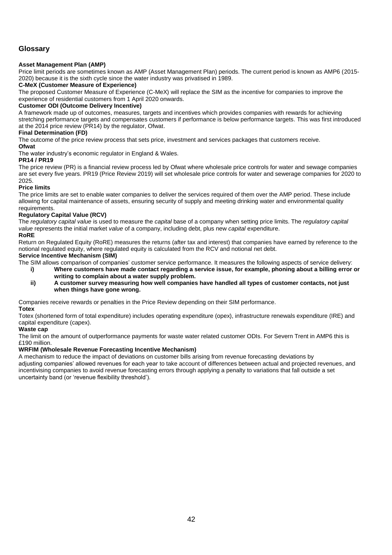## **Glossary**

### **Asset Management Plan (AMP)**

Price limit periods are sometimes known as AMP (Asset Management Plan) periods. The current period is known as AMP6 (2015- 2020) because it is the sixth cycle since the water industry was privatised in 1989.

### **C-MeX (Customer Measure of Experience)**

The proposed Customer Measure of Experience (C-MeX) will replace the SIM as the incentive for companies to improve the experience of residential customers from 1 April 2020 onwards.

### **Customer ODI (Outcome Delivery Incentive)**

A framework made up of outcomes, measures, targets and incentives which provides companies with rewards for achieving stretching performance targets and compensates customers if performance is below performance targets. This was first introduced at the 2014 price review (PR14) by the regulator, Ofwat.

### **Final Determination (FD)**

The outcome of the price review process that sets price, investment and services packages that customers receive.

#### **Ofwat**

The water industry's economic regulator in England & Wales.

### **PR14 / PR19**

The price review (PR) is a financial review process led by Ofwat where wholesale price controls for water and sewage companies are set every five years. PR19 (Price Review 2019) will set wholesale price controls for water and sewerage companies for 2020 to 2025.

### **Price limits**

The price limits are set to enable water companies to deliver the services required of them over the AMP period. These include allowing for capital maintenance of assets, ensuring security of supply and meeting drinking water and environmental quality requirements.

### **Regulatory Capital Value (RCV)**

The *regulatory capital value* is used to measure the *capital* base of a company when setting price limits. The *regulatory capital value* represents the initial market *value* of a company, including debt, plus new *capital* expenditure.

#### **RoRE**

Return on Regulated Equity (RoRE) measures the returns (after tax and interest) that companies have earned by reference to the notional regulated equity, where regulated equity is calculated from the RCV and notional net debt.

### **Service Incentive Mechanism (SIM)**

The SIM allows comparison of companies' customer service performance. It measures the following aspects of service delivery:<br>i) Where customers have made contact regarding a service issue, for example, phoning about a bill

- **i) Where customers have made contact regarding a service issue, for example, phoning about a billing error or writing to complain about a water supply problem.**
- **ii) A customer survey measuring how well companies have handled all types of customer contacts, not just when things have gone wrong.**

Companies receive rewards or penalties in the Price Review depending on their SIM performance.

### **Totex**

Totex (shortened form of total expenditure) includes operating expenditure (opex), infrastructure renewals expenditure (IRE) and capital expenditure (capex).

### **Waste cap**

The limit on the amount of outperformance payments for waste water related customer ODIs. For Severn Trent in AMP6 this is £190 million.

### **WRFIM (Wholesale Revenue Forecasting Incentive Mechanism)**

A mechanism to reduce the impact of deviations on customer bills arising from revenue forecasting deviations by adjusting companies' allowed revenues for each year to take account of differences between actual and projected revenues, and incentivising companies to avoid revenue forecasting errors through applying a penalty to variations that fall outside a set uncertainty band (or 'revenue flexibility threshold').